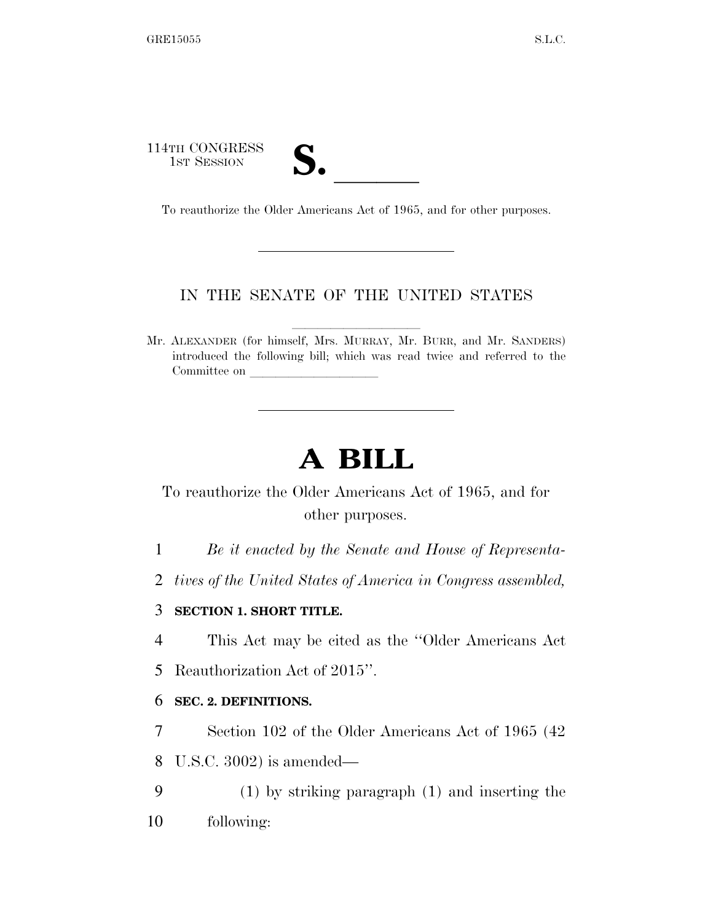114TH CONGRESS 1ST SESSION **S.** <br>To reauthorize the Older Americans Act of 1965, and for other purposes.

# IN THE SENATE OF THE UNITED STATES

Mr. ALEXANDER (for himself, Mrs. MURRAY, Mr. BURR, and Mr. SANDERS) introduced the following bill; which was read twice and referred to the Committee on

# **A BILL**

To reauthorize the Older Americans Act of 1965, and for other purposes.

1 *Be it enacted by the Senate and House of Representa-*

2 *tives of the United States of America in Congress assembled,* 

## 3 **SECTION 1. SHORT TITLE.**

4 This Act may be cited as the ''Older Americans Act

5 Reauthorization Act of 2015''.

#### 6 **SEC. 2. DEFINITIONS.**

7 Section 102 of the Older Americans Act of 1965 (42 8 U.S.C. 3002) is amended—

9 (1) by striking paragraph (1) and inserting the 10 following: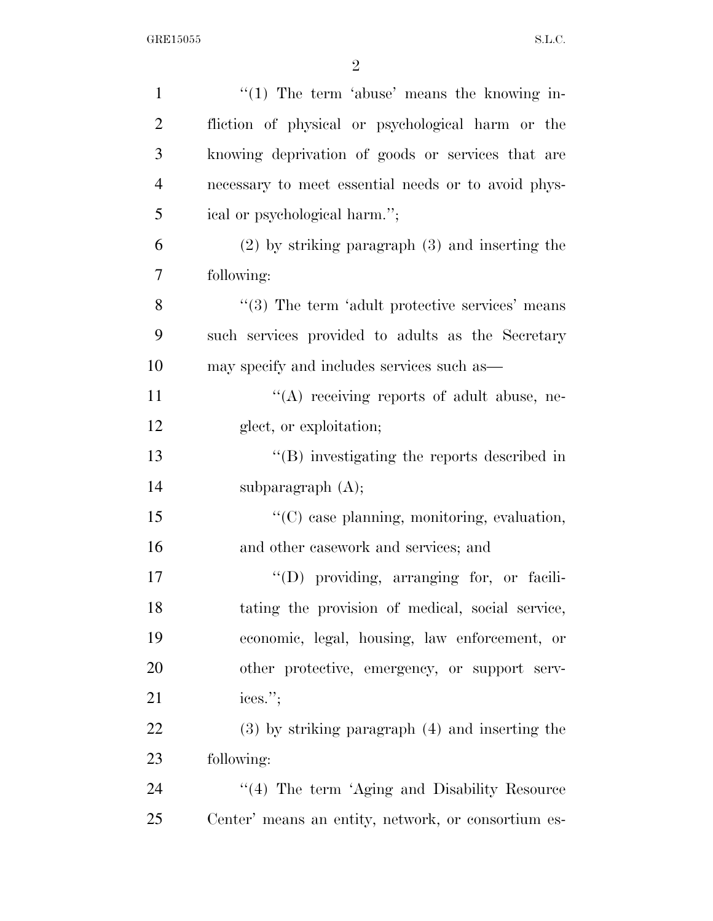| $\mathbf{1}$   | " $(1)$ The term 'abuse' means the knowing in-              |
|----------------|-------------------------------------------------------------|
| $\overline{2}$ | fliction of physical or psychological harm or the           |
| 3              | knowing deprivation of goods or services that are           |
| $\overline{4}$ | necessary to meet essential needs or to avoid phys-         |
| 5              | ical or psychological harm.";                               |
| 6              | $(2)$ by striking paragraph $(3)$ and inserting the         |
| 7              | following:                                                  |
| 8              | $\cdot\cdot$ (3) The term 'adult protective services' means |
| 9              | such services provided to adults as the Secretary           |
| 10             | may specify and includes services such as—                  |
| 11             | "(A) receiving reports of adult abuse, ne-                  |
| 12             | glect, or exploitation;                                     |
| 13             | $\lq\lq$ . Investigating the reports described in           |
| 14             | subparagraph $(A)$ ;                                        |
| 15             | "(C) case planning, monitoring, evaluation,                 |
| 16             | and other casework and services; and                        |
| 17             | $\lq\lq$ providing, arranging for, or facili-               |
| 18             | tating the provision of medical, social service,            |
| 19             | economic, legal, housing, law enforcement, or               |
| 20             | other protective, emergency, or support serv-               |
| 21             | ices.";                                                     |
| 22             | $(3)$ by striking paragraph $(4)$ and inserting the         |
| 23             | following:                                                  |
| 24             | $\lq(4)$ The term 'Aging and Disability Resource            |
| 25             | Center' means an entity, network, or consortium es-         |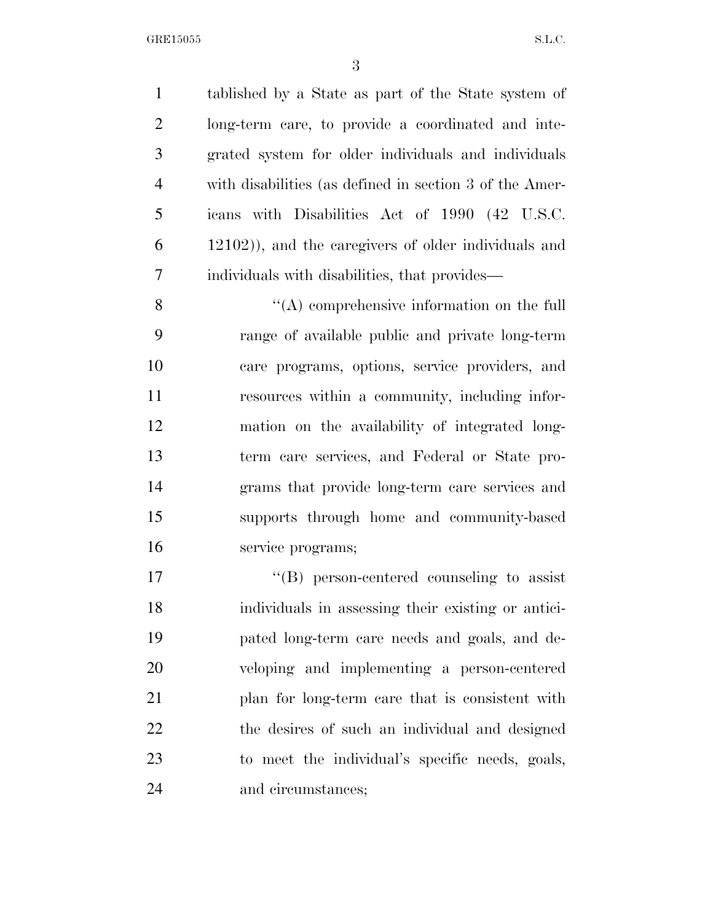tablished by a State as part of the State system of long-term care, to provide a coordinated and inte- grated system for older individuals and individuals with disabilities (as defined in section 3 of the Amer- icans with Disabilities Act of 1990 (42 U.S.C. 12102)), and the caregivers of older individuals and individuals with disabilities, that provides—

 ''(A) comprehensive information on the full range of available public and private long-term care programs, options, service providers, and resources within a community, including infor- mation on the availability of integrated long- term care services, and Federal or State pro- grams that provide long-term care services and supports through home and community-based service programs;

 $\langle G \rangle$  person-centered counseling to assist individuals in assessing their existing or antici- pated long-term care needs and goals, and de- veloping and implementing a person-centered plan for long-term care that is consistent with the desires of such an individual and designed to meet the individual's specific needs, goals, and circumstances;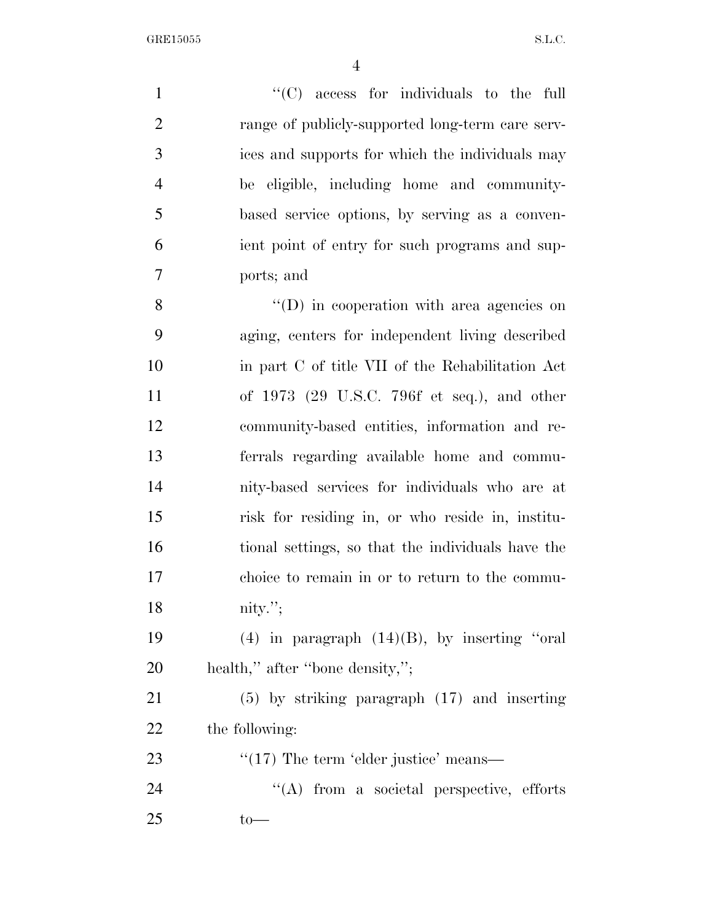$\lq$  (C) access for individuals to the full 2 range of publicly-supported long-term care serv- ices and supports for which the individuals may be eligible, including home and community- based service options, by serving as a conven- ient point of entry for such programs and sup- ports; and  $''(D)$  in cooperation with area agencies on aging, centers for independent living described

 in part C of title VII of the Rehabilitation Act of 1973 (29 U.S.C. 796f et seq.), and other community-based entities, information and re- ferrals regarding available home and commu- nity-based services for individuals who are at risk for residing in, or who reside in, institu- tional settings, so that the individuals have the choice to remain in or to return to the commu-nity.'';

19 (4) in paragraph  $(14)(B)$ , by inserting "oral 20 health," after "bone density,";

 (5) by striking paragraph (17) and inserting the following:

23  $\frac{1}{2}$  The term 'elder justice' means—

24 "(A) from a societal perspective, efforts to—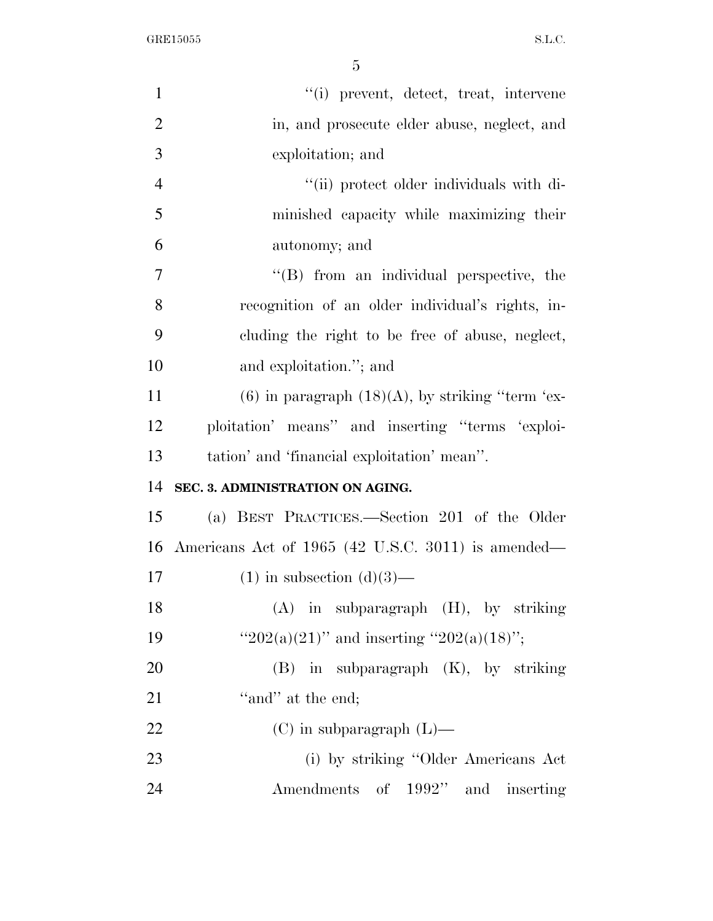| $\mathbf{1}$   | "(i) prevent, detect, treat, intervene                |
|----------------|-------------------------------------------------------|
| $\overline{2}$ | in, and prosecute elder abuse, neglect, and           |
| 3              | exploitation; and                                     |
| $\overline{4}$ | "(ii) protect older individuals with di-              |
| 5              | minished capacity while maximizing their              |
| 6              | autonomy; and                                         |
| 7              | "(B) from an individual perspective, the              |
| 8              | recognition of an older individual's rights, in-      |
| 9              | cluding the right to be free of abuse, neglect,       |
| 10             | and exploitation."; and                               |
| 11             | $(6)$ in paragraph $(18)(A)$ , by striking "term 'ex- |
| 12             | ploitation' means" and inserting "terms 'exploi-      |
| 13             | tation' and 'financial exploitation' mean''.          |
| 14             | SEC. 3. ADMINISTRATION ON AGING.                      |
| 15             | (a) BEST PRACTICES.—Section 201 of the Older          |
| 16             | Americans Act of 1965 (42 U.S.C. 3011) is amended—    |
| 17             | $(1)$ in subsection $(d)(3)$ —                        |
| 18             | $(A)$ in subparagraph $(H)$ , by striking             |
| 19             | "202(a)(21)" and inserting "202(a)(18)";              |
| 20             | $(B)$ in subparagraph $(K)$ , by striking             |
| 21             | "and" at the end;                                     |
| 22             | $(C)$ in subparagraph $(L)$ —                         |
| 23             |                                                       |
|                | (i) by striking "Older Americans Act                  |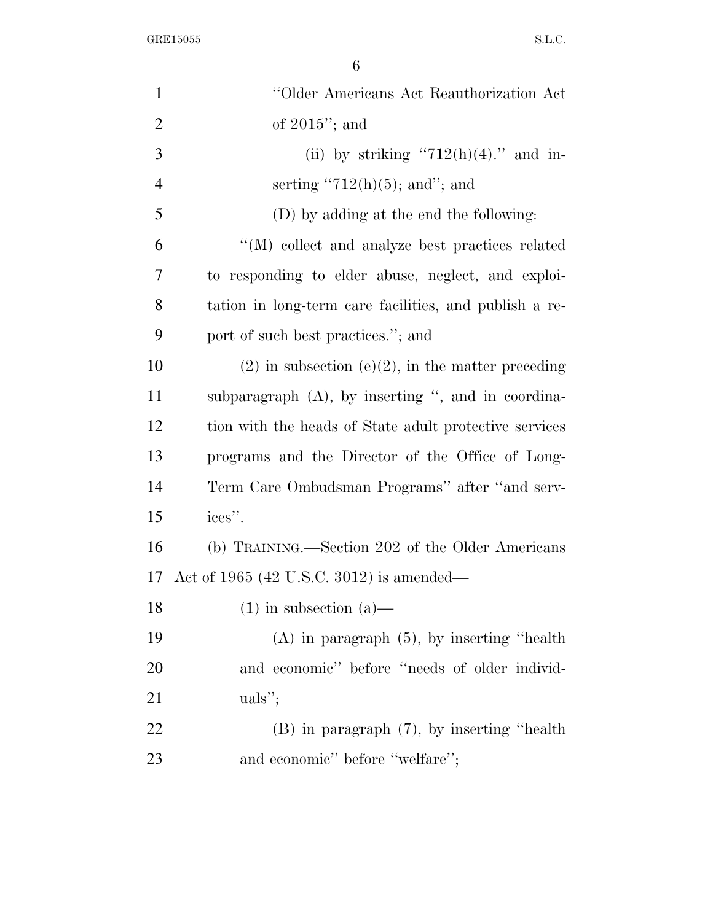| $\mathbf{1}$   | "Older Americans Act Reauthorization Act               |
|----------------|--------------------------------------------------------|
| $\overline{2}$ | of $2015$ "; and                                       |
| 3              | (ii) by striking "712(h)(4)." and in-                  |
| $\overline{4}$ | serting "712(h)(5); and"; and                          |
| 5              | (D) by adding at the end the following:                |
| 6              | "(M) collect and analyze best practices related        |
| 7              | to responding to elder abuse, neglect, and exploi-     |
| 8              | tation in long-term care facilities, and publish a re- |
| 9              | port of such best practices."; and                     |
| 10             | $(2)$ in subsection $(e)(2)$ , in the matter preceding |
| 11             | subparagraph $(A)$ , by inserting ", and in coordina-  |
| 12             | tion with the heads of State adult protective services |
| 13             | programs and the Director of the Office of Long-       |
| 14             | Term Care Ombudsman Programs" after "and serv-         |
| 15             | ices".                                                 |
| 16             | (b) TRAINING.—Section 202 of the Older Americans       |
| 17             | Act of 1965 (42 U.S.C. 3012) is amended—               |
| 18             | $(1)$ in subsection $(a)$ —                            |
| 19             | $(A)$ in paragraph $(5)$ , by inserting "health"       |
| 20             | and economic" before "needs of older individ-          |
| 21             | $uals$ <sup>"</sup> ;                                  |
| 22             | $(B)$ in paragraph $(7)$ , by inserting "health"       |
| 23             | and economic" before "welfare";                        |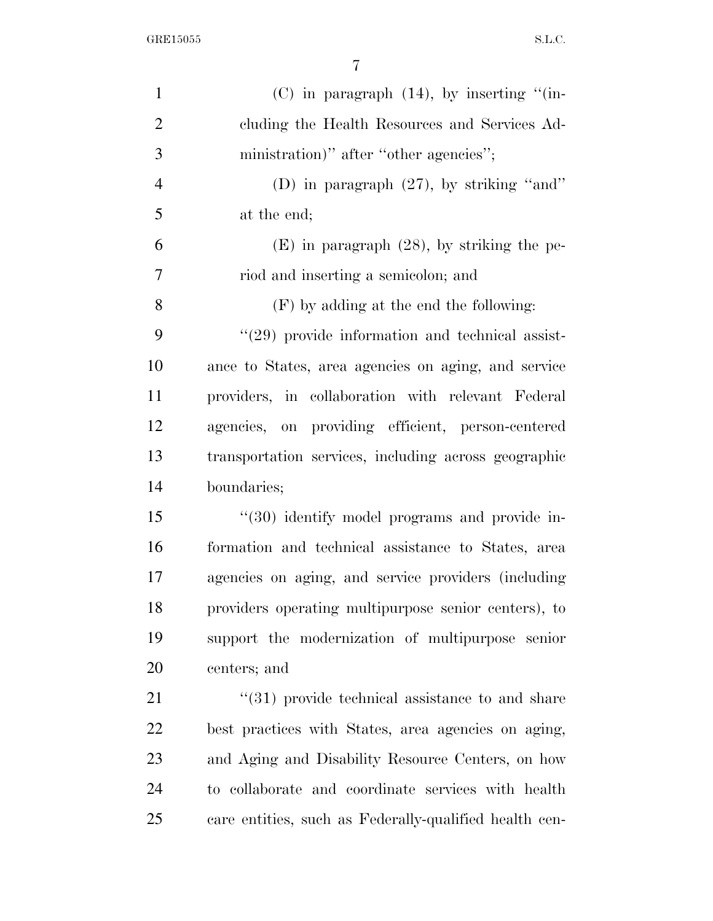| $\mathbf{1}$   | $(C)$ in paragraph $(14)$ , by inserting "(in-         |
|----------------|--------------------------------------------------------|
| $\overline{2}$ | cluding the Health Resources and Services Ad-          |
| 3              | ministration)" after "other agencies";                 |
| $\overline{4}$ | (D) in paragraph $(27)$ , by striking "and"            |
| 5              | at the end;                                            |
| 6              | $(E)$ in paragraph $(28)$ , by striking the pe-        |
| 7              | riod and inserting a semicolon; and                    |
| 8              | $(F)$ by adding at the end the following:              |
| 9              | $\lq(29)$ provide information and technical assist-    |
| 10             | ance to States, area agencies on aging, and service    |
| 11             | providers, in collaboration with relevant Federal      |
| 12             | agencies, on providing efficient, person-centered      |
| 13             | transportation services, including across geographic   |
| 14             | boundaries;                                            |
| 15             | "(30) identify model programs and provide in-          |
| 16             | formation and technical assistance to States, area     |
| 17             | agencies on aging, and service providers (including    |
| 18             | providers operating multipurpose senior centers), to   |
| 19             | support the modernization of multipurpose senior       |
| 20             | centers; and                                           |
| 21             | $\lq(31)$ provide technical assistance to and share    |
| 22             | best practices with States, area agencies on aging,    |
| 23             | and Aging and Disability Resource Centers, on how      |
| 24             | to collaborate and coordinate services with health     |
| 25             | care entities, such as Federally-qualified health cen- |
|                |                                                        |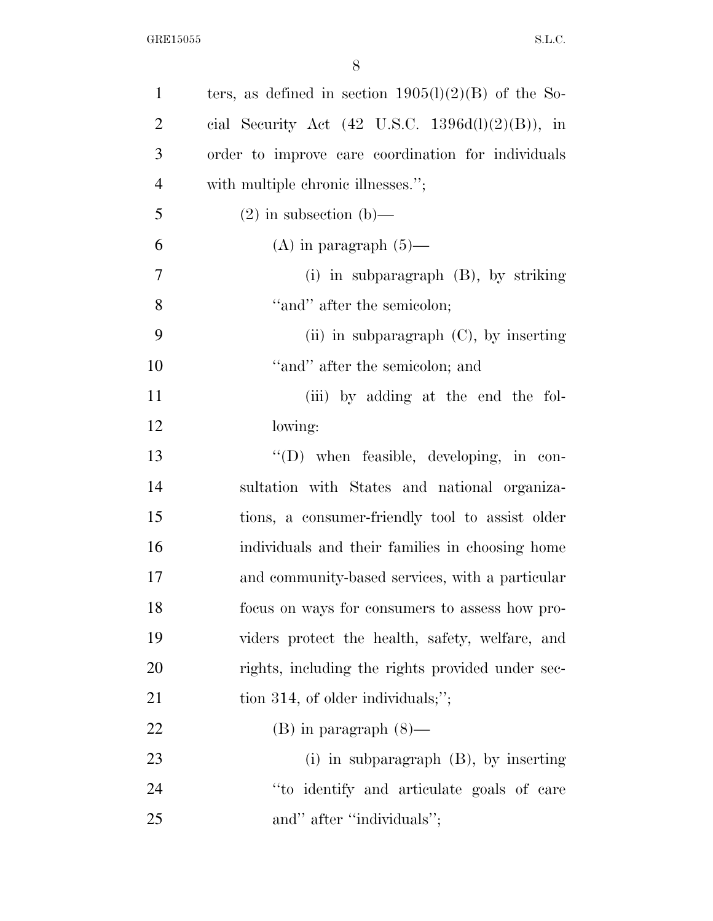| $\mathbf{1}$   | ters, as defined in section $1905(l)(2)(B)$ of the So-       |
|----------------|--------------------------------------------------------------|
| $\overline{2}$ | cial Security Act $(42 \text{ U.S.C. } 1396d(l)(2)(B))$ , in |
| 3              | order to improve care coordination for individuals           |
| $\overline{4}$ | with multiple chronic illnesses.";                           |
| 5              | $(2)$ in subsection $(b)$ —                                  |
| 6              | (A) in paragraph $(5)$ —                                     |
| 7              | (i) in subparagraph $(B)$ , by striking                      |
| 8              | "and" after the semicolon;                                   |
| 9              | (ii) in subparagraph $(C)$ , by inserting                    |
| 10             | "and" after the semicolon; and                               |
| 11             | (iii) by adding at the end the fol-                          |
| 12             | lowing:                                                      |
| 13             | $\lq\lq$ when feasible, developing, in con-                  |
| 14             | sultation with States and national organiza-                 |
| 15             | tions, a consumer-friendly tool to assist older              |
| 16             | individuals and their families in choosing home              |
| 17             | and community-based services, with a particular              |
| 18             | focus on ways for consumers to assess how pro-               |
| 19             | viders protect the health, safety, welfare, and              |
| <b>20</b>      | rights, including the rights provided under sec-             |
| 21             | tion 314, of older individuals;";                            |
| 22             | $(B)$ in paragraph $(8)$ —                                   |
| 23             | (i) in subparagraph $(B)$ , by inserting                     |
| 24             | "to identify and articulate goals of care                    |
| 25             | and" after "individuals";                                    |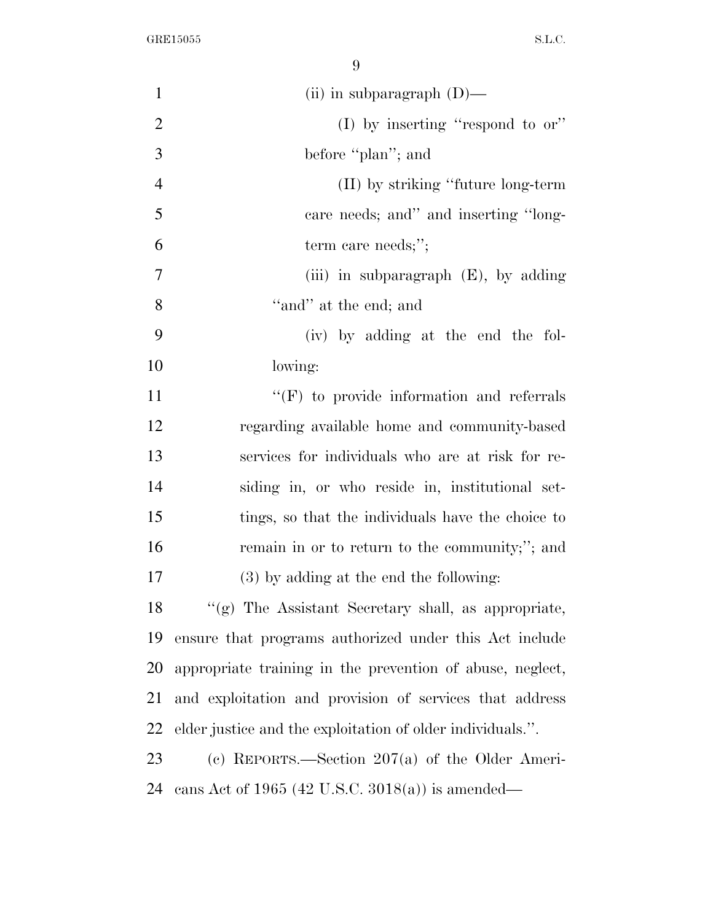| $\mathbf{1}$   | (ii) in subparagraph $(D)$ —                               |
|----------------|------------------------------------------------------------|
| $\overline{2}$ | (I) by inserting "respond to $or$ "                        |
| 3              | before "plan"; and                                         |
| $\overline{4}$ | (II) by striking "future long-term                         |
| 5              | care needs; and" and inserting "long-                      |
| 6              | term care needs;";                                         |
| 7              | (iii) in subparagraph $(E)$ , by adding                    |
| 8              | "and" at the end; and                                      |
| 9              | (iv) by adding at the end the fol-                         |
| 10             | lowing:                                                    |
| 11             | $\lq\lq(F)$ to provide information and referrals           |
| 12             | regarding available home and community-based               |
| 13             | services for individuals who are at risk for re-           |
| 14             | siding in, or who reside in, institutional set-            |
| 15             | tings, so that the individuals have the choice to          |
| 16             | remain in or to return to the community;"; and             |
| 17             | (3) by adding at the end the following:                    |
| 18             | $\lq(9)$ The Assistant Secretary shall, as appropriate,    |
| 19             | ensure that programs authorized under this Act include     |
| 20             | appropriate training in the prevention of abuse, neglect,  |
| 21             | and exploitation and provision of services that address    |
| 22             | elder justice and the exploitation of older individuals.". |
| 23             | (c) REPORTS.—Section $207(a)$ of the Older Ameri-          |
| 24             | cans Act of 1965 (42 U.S.C. 3018(a)) is amended—           |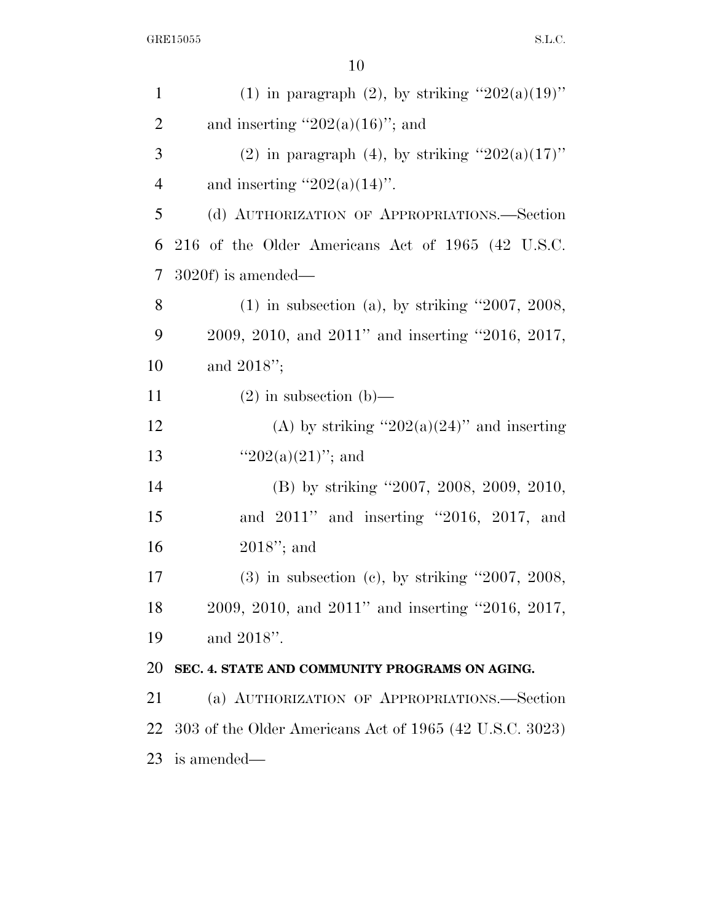| $\mathbf{1}$   | (1) in paragraph (2), by striking " $202(a)(19)$ "      |
|----------------|---------------------------------------------------------|
| $\overline{2}$ | and inserting " $202(a)(16)$ "; and                     |
| 3              | (2) in paragraph (4), by striking " $202(a)(17)$ "      |
| $\overline{4}$ | and inserting " $202(a)(14)$ ".                         |
| 5              | (d) AUTHORIZATION OF APPROPRIATIONS.—Section            |
| 6              | 216 of the Older Americans Act of 1965 (42 U.S.C.       |
| $\overline{7}$ | $3020f$ ) is amended—                                   |
| 8              | $(1)$ in subsection $(a)$ , by striking "2007, 2008,    |
| 9              | 2009, 2010, and 2011" and inserting "2016, 2017,        |
| 10             | and $2018$ ";                                           |
| 11             | $(2)$ in subsection $(b)$ —                             |
| 12             | (A) by striking " $202(a)(24)$ " and inserting          |
| 13             | " $202(a)(21)$ "; and                                   |
| 14             | (B) by striking "2007, 2008, 2009, 2010,                |
| 15             | and 2011" and inserting "2016, 2017, and                |
| 16             | $2018$ "; and                                           |
| 17             | $(3)$ in subsection $(e)$ , by striking "2007, 2008,    |
| 18             | 2009, 2010, and 2011" and inserting "2016, 2017,        |
| 19             | and 2018".                                              |
| 20             | SEC. 4. STATE AND COMMUNITY PROGRAMS ON AGING.          |
| 21             | (a) AUTHORIZATION OF APPROPRIATIONS.-Section            |
| 22             | 303 of the Older Americans Act of 1965 (42 U.S.C. 3023) |
| 23             | is amended—                                             |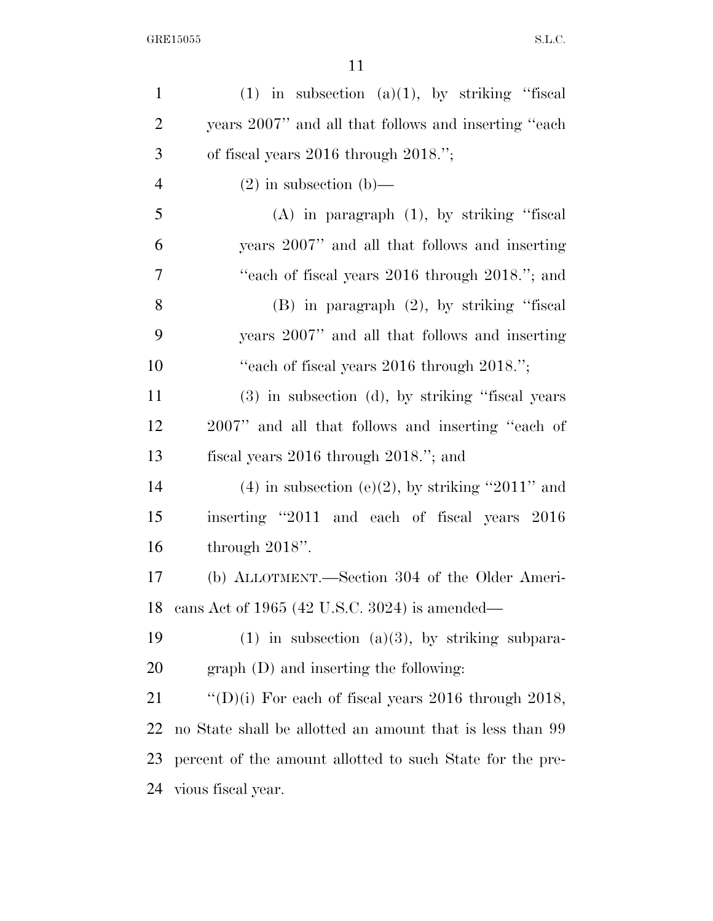| $\mathbf{1}$   | $(1)$ in subsection $(a)(1)$ , by striking "fiscal        |
|----------------|-----------------------------------------------------------|
| $\overline{2}$ | years 2007" and all that follows and inserting "each"     |
| 3              | of fiscal years $2016$ through $2018."$ ;                 |
| $\overline{4}$ | $(2)$ in subsection $(b)$ —                               |
| 5              | $(A)$ in paragraph $(1)$ , by striking "fiscal            |
| 6              | years 2007" and all that follows and inserting            |
| 7              | "each of fiscal years 2016 through 2018."; and            |
| 8              | $(B)$ in paragraph $(2)$ , by striking "fiscal            |
| 9              | years 2007" and all that follows and inserting            |
| 10             | "each of fiscal years 2016 through 2018.";                |
| 11             | $(3)$ in subsection $(d)$ , by striking "fiscal years"    |
| 12             | 2007" and all that follows and inserting "each of         |
| 13             | fiscal years $2016$ through $2018$ ."; and                |
| 14             | $(4)$ in subsection $(e)(2)$ , by striking "2011" and     |
| 15             | inserting "2011 and each of fiscal years 2016             |
| 16             | through $2018$ ".                                         |
| 17             | (b) ALLOTMENT.—Section 304 of the Older Ameri-            |
| 18             | cans Act of 1965 (42 U.S.C. 3024) is amended—             |
| 19             | $(1)$ in subsection $(a)(3)$ , by striking subpara-       |
| 20             | $graph$ (D) and inserting the following:                  |
| 21             | "(D)(i) For each of fiscal years $2016$ through $2018$ ,  |
| 22             | no State shall be allotted an amount that is less than 99 |
| 23             | percent of the amount allotted to such State for the pre- |
| 24             | vious fiscal year.                                        |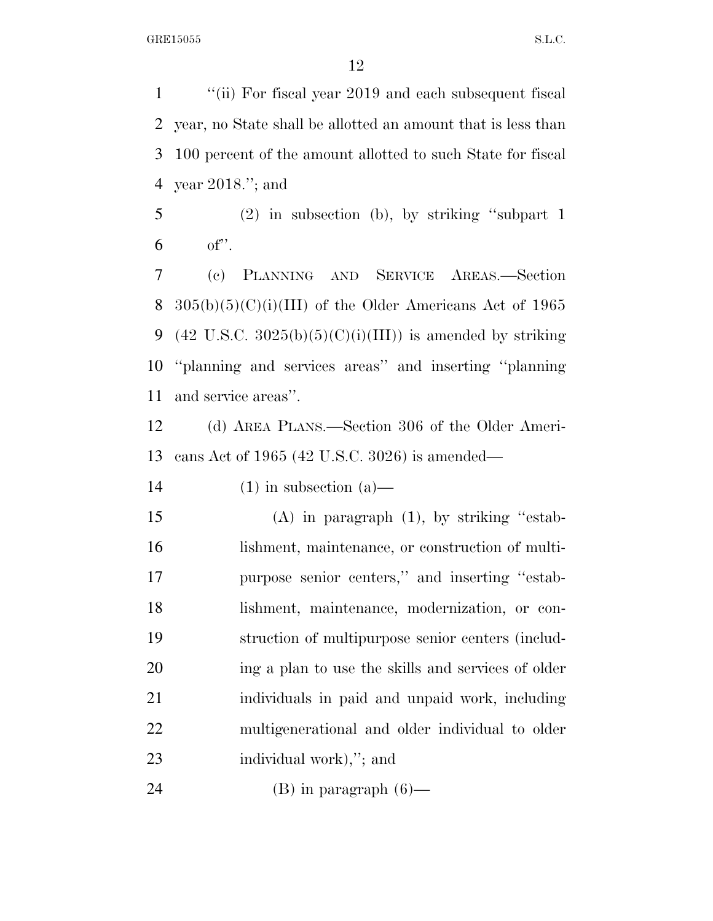''(ii) For fiscal year 2019 and each subsequent fiscal year, no State shall be allotted an amount that is less than 100 percent of the amount allotted to such State for fiscal year 2018.''; and

 (2) in subsection (b), by striking ''subpart 1 of''.

 (c) PLANNING AND SERVICE AREAS.—Section  $305(b)(5)(C)(i)(III)$  of the Older Americans Act of 1965 9 (42 U.S.C.  $3025(b)(5)(C)(i)(III)$ ) is amended by striking ''planning and services areas'' and inserting ''planning and service areas''.

 (d) AREA PLANS.—Section 306 of the Older Ameri-cans Act of 1965 (42 U.S.C. 3026) is amended—

14 (1) in subsection  $(a)$ —

 (A) in paragraph (1), by striking ''estab- lishment, maintenance, or construction of multi- purpose senior centers,'' and inserting ''estab- lishment, maintenance, modernization, or con- struction of multipurpose senior centers (includ- ing a plan to use the skills and services of older individuals in paid and unpaid work, including multigenerational and older individual to older individual work),''; and

24 (B) in paragraph  $(6)$ —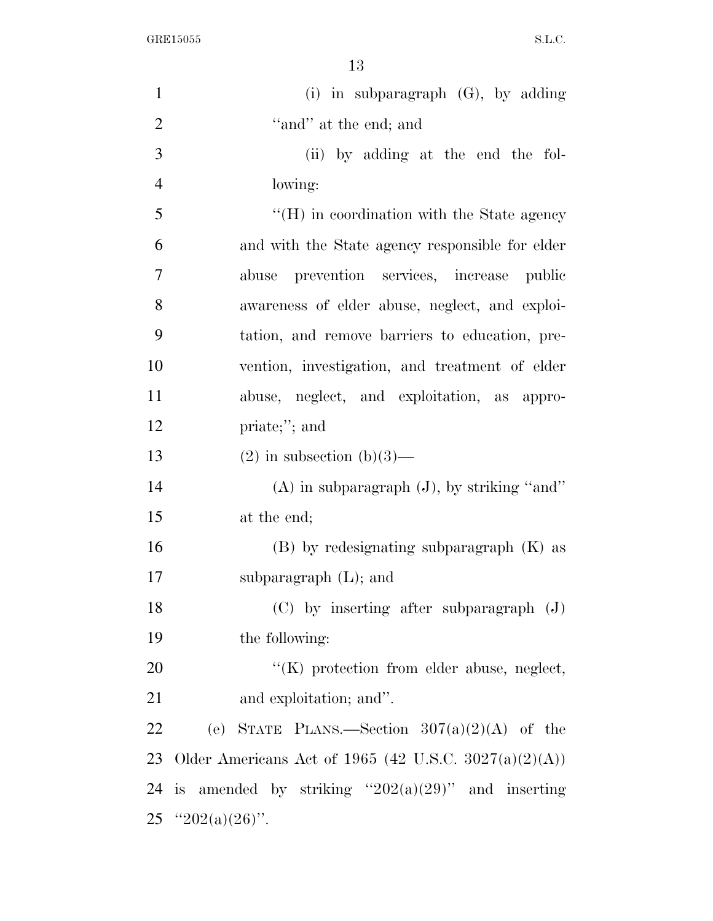$\begin{minipage}{.4\linewidth} \begin{tabular}{l} \bf{GRE15055} \end{tabular} \end{minipage}$ 

| $\mathbf{1}$   | (i) in subparagraph $(G)$ , by adding                 |
|----------------|-------------------------------------------------------|
| $\overline{2}$ | "and" at the end; and                                 |
| 3              | (ii) by adding at the end the fol-                    |
| $\overline{4}$ | lowing:                                               |
| 5              | $\rm{``(H)}$ in coordination with the State agency    |
| 6              | and with the State agency responsible for elder       |
| 7              | abuse prevention services, increase public            |
| 8              | awareness of elder abuse, neglect, and exploi-        |
| 9              | tation, and remove barriers to education, pre-        |
| 10             | vention, investigation, and treatment of elder        |
| 11             | abuse, neglect, and exploitation, as appro-           |
| 12             | priate;"; and                                         |
| 13             | $(2)$ in subsection $(b)(3)$ —                        |
| 14             | $(A)$ in subparagraph $(J)$ , by striking "and"       |
| 15             | at the end;                                           |
| 16             | $(B)$ by redesignating subparagraph $(K)$ as          |
| 17             | subparagraph $(L)$ ; and                              |
| 18             | $(C)$ by inserting after subparagraph $(J)$           |
| 19             | the following:                                        |
| 20             | $\lq\lq$ (K) protection from elder abuse, neglect,    |
| 21             | and exploitation; and".                               |
| 22             | (e) STATE PLANS.—Section $307(a)(2)(A)$ of the        |
| 23             | Older Americans Act of 1965 (42 U.S.C. 3027(a)(2)(A)) |
| 24             | is amended by striking " $202(a)(29)$ " and inserting |
|                | 25 "202(a)(26)".                                      |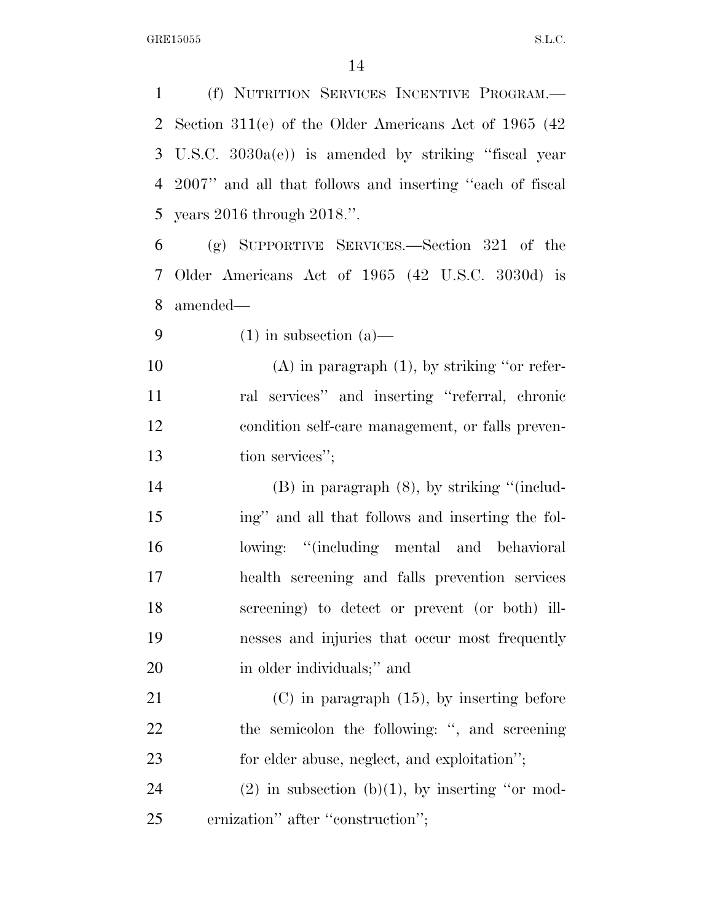(f) NUTRITION SERVICES INCENTIVE PROGRAM.— Section 311(e) of the Older Americans Act of 1965 (42 U.S.C. 3030a(e)) is amended by striking ''fiscal year 2007'' and all that follows and inserting ''each of fiscal years 2016 through 2018.''. (g) SUPPORTIVE SERVICES.—Section 321 of the Older Americans Act of 1965 (42 U.S.C. 3030d) is amended— 9 (1) in subsection (a) (A) in paragraph (1), by striking ''or refer- ral services'' and inserting ''referral, chronic condition self-care management, or falls preven-13 tion services''; (B) in paragraph (8), by striking ''(includ- ing'' and all that follows and inserting the fol- lowing: ''(including mental and behavioral health screening and falls prevention services screening) to detect or prevent (or both) ill- nesses and injuries that occur most frequently 20 in older individuals;" and (C) in paragraph (15), by inserting before the semicolon the following: '', and screening for elder abuse, neglect, and exploitation''; 24 (2) in subsection (b)(1), by inserting "or mod-ernization'' after ''construction'';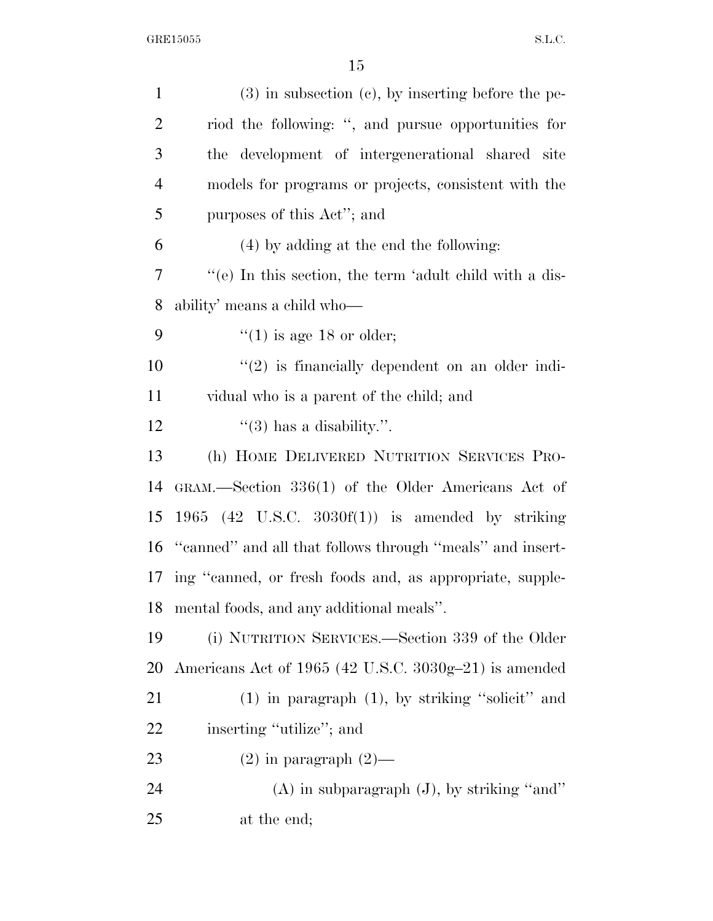| $\mathbf{1}$   | $(3)$ in subsection $(e)$ , by inserting before the pe-   |
|----------------|-----------------------------------------------------------|
| $\overline{2}$ | riod the following: ", and pursue opportunities for       |
| 3              | the development of intergenerational shared site          |
| $\overline{4}$ | models for programs or projects, consistent with the      |
| 5              | purposes of this Act"; and                                |
| 6              | (4) by adding at the end the following:                   |
| 7              | "(e) In this section, the term 'adult child with a dis-   |
| 8              | ability' means a child who—                               |
| 9              | $\degree$ (1) is age 18 or older;                         |
| 10             | $\lq(2)$ is financially dependent on an older indi-       |
| 11             | vidual who is a parent of the child; and                  |
| 12             | $\lq(3)$ has a disability.".                              |
| 13             | (h) HOME DELIVERED NUTRITION SERVICES PRO-                |
| 14             | GRAM.—Section 336(1) of the Older Americans Act of        |
| 15             | 1965 (42 U.S.C. 3030 $f(1)$ ) is amended by striking      |
| 16             | "canned" and all that follows through "meals" and insert- |
| 17             | ing "canned, or fresh foods and, as appropriate, supple-  |
| 18             | mental foods, and any additional meals".                  |
| 19             | (i) NUTRITION SERVICES.—Section 339 of the Older          |
| 20             | Americans Act of 1965 (42 U.S.C. 3030g-21) is amended     |
| 21             | $(1)$ in paragraph $(1)$ , by striking "solicit" and      |
| 22             | inserting "utilize"; and                                  |
| 23             | $(2)$ in paragraph $(2)$ —                                |
| 24             | $(A)$ in subparagraph $(J)$ , by striking "and"           |
| 25             | at the end;                                               |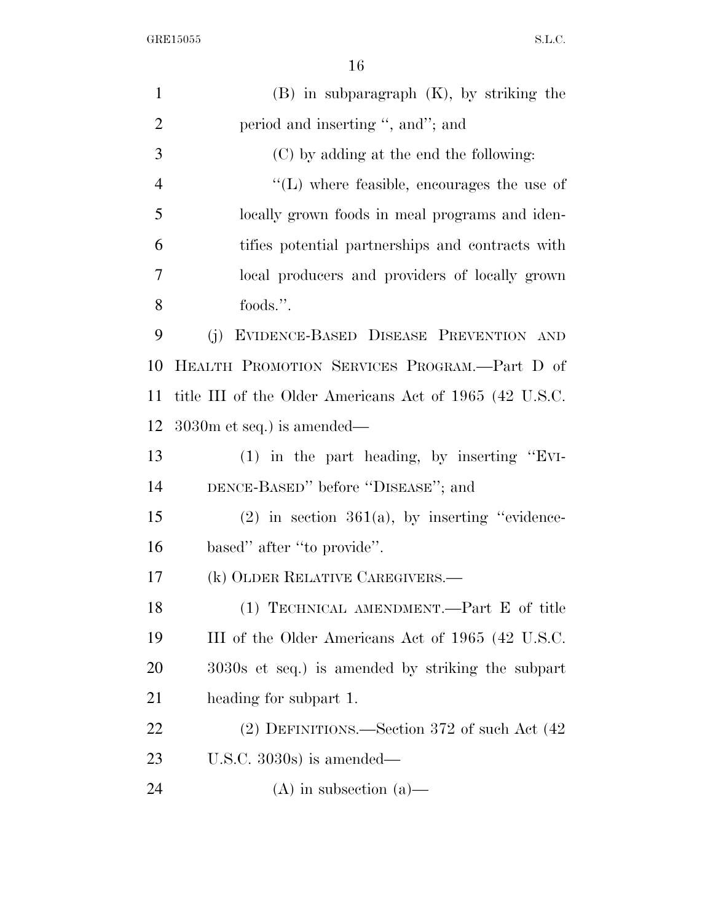$\begin{minipage}{.4\linewidth} \begin{tabular}{l} \bf{GRE15055} \end{tabular} \end{minipage}$ 

| $\mathbf{1}$   | $(B)$ in subparagraph $(K)$ , by striking the           |
|----------------|---------------------------------------------------------|
| $\overline{2}$ | period and inserting ", and"; and                       |
| 3              | (C) by adding at the end the following:                 |
| $\overline{4}$ | $\lq\lq$ . Where feasible, encourages the use of        |
| 5              | locally grown foods in meal programs and iden-          |
| 6              | tifies potential partnerships and contracts with        |
| 7              | local producers and providers of locally grown          |
| 8              | foods.".                                                |
| 9              | EVIDENCE-BASED DISEASE PREVENTION AND<br>(j)            |
| 10             | HEALTH PROMOTION SERVICES PROGRAM.—Part D of            |
| 11             | title III of the Older Americans Act of 1965 (42 U.S.C. |
| 12             | $3030m$ et seq.) is amended—                            |
| 13             | $(1)$ in the part heading, by inserting "EVI-           |
| 14             | DENCE-BASED" before "DISEASE"; and                      |
| 15             | $(2)$ in section 361(a), by inserting "evidence-        |
| 16             | based" after "to provide".                              |
| 17             | (k) OLDER RELATIVE CAREGIVERS.—                         |
| 18             | (1) TECHNICAL AMENDMENT.—Part E of title                |
| 19             | III of the Older Americans Act of 1965 (42 U.S.C.       |
| 20             | 3030s et seq.) is amended by striking the subpart       |
| 21             | heading for subpart 1.                                  |
| 22             | $(2)$ DEFINITIONS.—Section 372 of such Act $(42)$       |
| 23             | U.S.C. $3030s$ is amended—                              |
| 24             | $(A)$ in subsection $(a)$ —                             |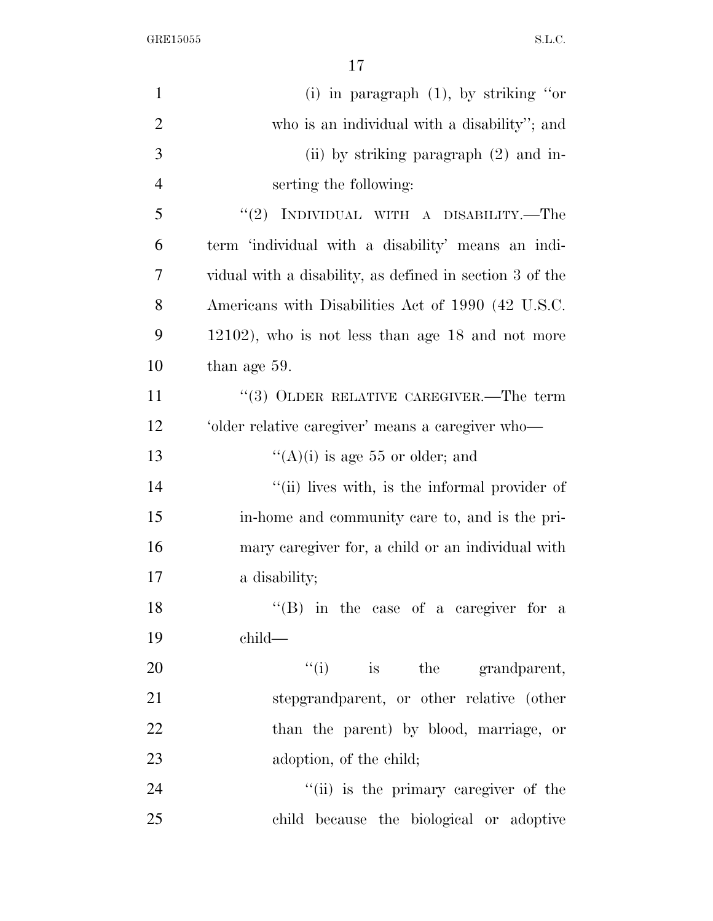| $\mathbf{1}$   | (i) in paragraph $(1)$ , by striking "or                 |
|----------------|----------------------------------------------------------|
| $\overline{2}$ | who is an individual with a disability"; and             |
| 3              | (ii) by striking paragraph $(2)$ and in-                 |
| $\overline{4}$ | serting the following:                                   |
| 5              | "(2) INDIVIDUAL WITH A DISABILITY.—The                   |
| 6              | term 'individual with a disability' means an indi-       |
| 7              | vidual with a disability, as defined in section 3 of the |
| 8              | Americans with Disabilities Act of 1990 (42 U.S.C.       |
| 9              | $12102$ ), who is not less than age 18 and not more      |
| 10             | than age 59.                                             |
| 11             | $(3)$ OLDER RELATIVE CAREGIVER.—The term                 |
| 12             | 'older relative caregiver' means a caregiver who-        |
| 13             | "(A)(i) is age 55 or older; and                          |
| 14             | "(ii) lives with, is the informal provider of            |
| 15             | in-home and community care to, and is the pri-           |
| 16             | mary caregiver for, a child or an individual with        |
| 17             | a disability;                                            |
| 18             | "(B) in the case of a caregiver for a                    |
| 19             | $child-$                                                 |
| 20             | $f'(i)$ is the grandparent,                              |
| 21             | stepgrandparent, or other relative (other                |
| 22             | than the parent) by blood, marriage, or                  |
| 23             | adoption, of the child;                                  |
| 24             | "(ii) is the primary caregiver of the                    |
| 25             | child because the biological or adoptive                 |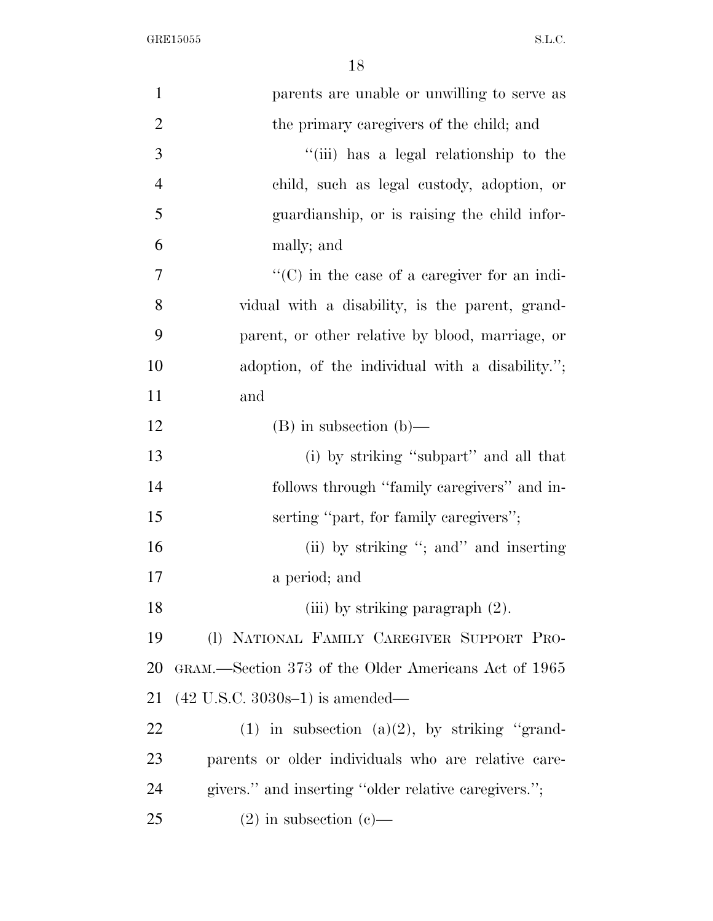$\begin{minipage}{.4\linewidth} \begin{tabular}{l} \bf{GRE15055} \end{tabular} \end{minipage}$ 

| $\mathbf{1}$   | parents are unable or unwilling to serve as          |
|----------------|------------------------------------------------------|
| $\overline{2}$ | the primary caregivers of the child; and             |
| 3              | "(iii) has a legal relationship to the               |
| $\overline{4}$ | child, such as legal custody, adoption, or           |
| 5              | guardianship, or is raising the child infor-         |
| 6              | mally; and                                           |
| 7              | $\lq\lq$ (C) in the case of a caregiver for an indi- |
| 8              | vidual with a disability, is the parent, grand-      |
| 9              | parent, or other relative by blood, marriage, or     |
| 10             | adoption, of the individual with a disability.";     |
| 11             | and                                                  |
| 12             | $(B)$ in subsection $(b)$ —                          |
| 13             | (i) by striking "subpart" and all that               |
| 14             | follows through "family caregivers" and in-          |
| 15             | serting "part, for family caregivers";               |
| 16             | (ii) by striking "; and " and inserting              |
| 17             | a period; and                                        |
| 18             | (iii) by striking paragraph (2).                     |
| 19             | (I) NATIONAL FAMILY CAREGIVER SUPPORT PRO-           |
| 20             | GRAM.—Section 373 of the Older Americans Act of 1965 |
| 21             | $(42 \text{ U.S.C. } 3030\text{s} - 1)$ is amended—  |
| 22             | (1) in subsection (a)(2), by striking "grand-        |
| 23             | parents or older individuals who are relative care-  |
| 24             | givers." and inserting "older relative caregivers."; |
| 25             | $(2)$ in subsection $(e)$ —                          |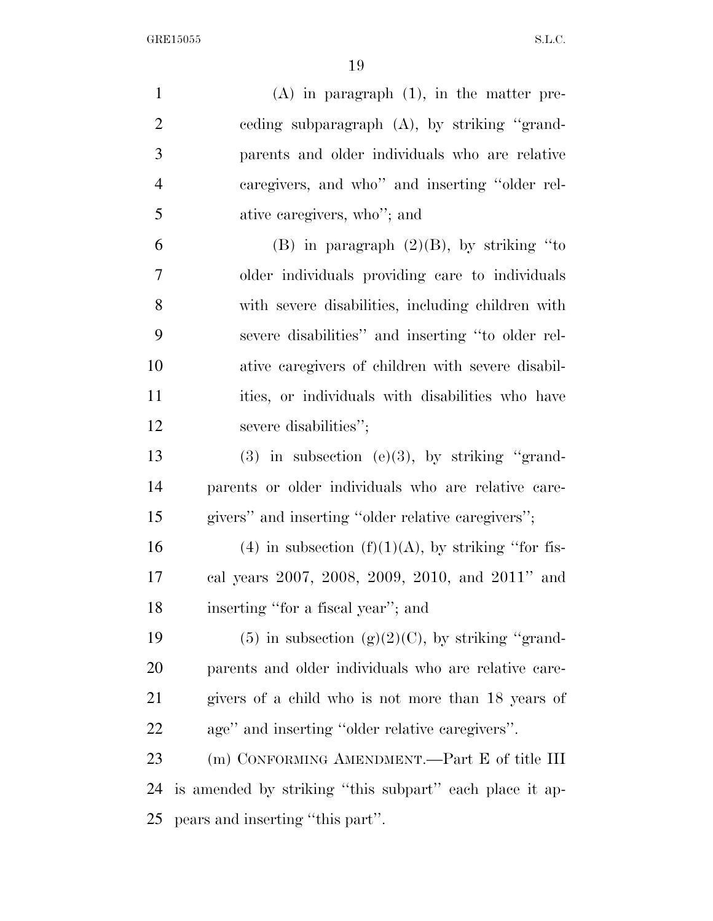$\begin{minipage}{.4\linewidth} \begin{tabular}{l} \bf{GRE15055} \end{tabular} \end{minipage}$ 

| $\mathbf{1}$   | $(A)$ in paragraph $(1)$ , in the matter pre-           |
|----------------|---------------------------------------------------------|
| $\overline{2}$ | eeding subparagraph (A), by striking "grand-            |
| 3              | parents and older individuals who are relative          |
| $\overline{4}$ | caregivers, and who" and inserting "older rel-          |
| 5              | ative caregivers, who"; and                             |
| 6              | (B) in paragraph $(2)(B)$ , by striking "to             |
| 7              | older individuals providing care to individuals         |
| 8              | with severe disabilities, including children with       |
| 9              | severe disabilities" and inserting "to older rel-       |
| 10             | ative caregivers of children with severe disabil-       |
| 11             | ities, or individuals with disabilities who have        |
| 12             | severe disabilities";                                   |
| 13             | $(3)$ in subsection $(e)(3)$ , by striking "grand-      |
| 14             | parents or older individuals who are relative care-     |
| 15             | givers" and inserting "older relative caregivers";      |
| 16             | (4) in subsection $(f)(1)(A)$ , by striking "for fis-   |
| 17             | cal years 2007, 2008, 2009, 2010, and 2011" and         |
| 18             | inserting "for a fiscal year"; and                      |
| 19             | $(5)$ in subsection $(g)(2)(C)$ , by striking "grand-   |
| <b>20</b>      | parents and older individuals who are relative care-    |
| 21             | givers of a child who is not more than 18 years of      |
| <u>22</u>      | age" and inserting "older relative caregivers".         |
| 23             | (m) CONFORMING AMENDMENT.—Part E of title III           |
| 24             | is amended by striking "this subpart" each place it ap- |
| 25             | pears and inserting "this part".                        |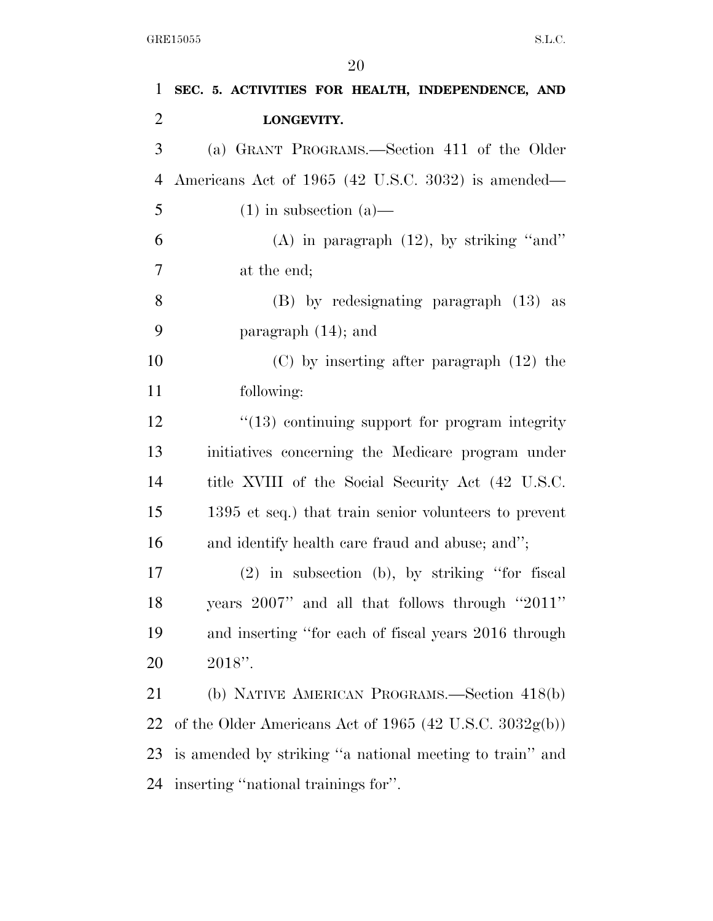| $\mathbf 1$    | SEC. 5. ACTIVITIES FOR HEALTH, INDEPENDENCE, AND           |
|----------------|------------------------------------------------------------|
| $\overline{2}$ | LONGEVITY.                                                 |
| 3              | (a) GRANT PROGRAMS.—Section 411 of the Older               |
| $\overline{4}$ | Americans Act of 1965 (42 U.S.C. 3032) is amended—         |
| 5              | $(1)$ in subsection $(a)$ —                                |
| 6              | (A) in paragraph $(12)$ , by striking "and"                |
| $\tau$         | at the end;                                                |
| $8\,$          | $(B)$ by redesignating paragraph $(13)$ as                 |
| 9              | paragraph $(14)$ ; and                                     |
| 10             | $(C)$ by inserting after paragraph $(12)$ the              |
| 11             | following:                                                 |
| 12             | $\cdot$ (13) continuing support for program integrity      |
| 13             | initiatives concerning the Medicare program under          |
| 14             | title XVIII of the Social Security Act (42 U.S.C.          |
| 15             | 1395 et seq.) that train senior volunteers to prevent      |
| 16             | and identify health care fraud and abuse; and";            |
| 17             | $(2)$ in subsection (b), by striking "for fiscal           |
| 18             | years 2007" and all that follows through "2011"            |
| 19             | and inserting "for each of fiscal years 2016 through       |
| 20             | $2018$ ".                                                  |
| 21             | (b) NATIVE AMERICAN PROGRAMS.—Section 418(b)               |
| 22             | of the Older Americans Act of 1965 (42 U.S.C. $3032g(b)$ ) |
| 23             | is amended by striking "a national meeting to train" and   |
| 24             | inserting "national trainings for".                        |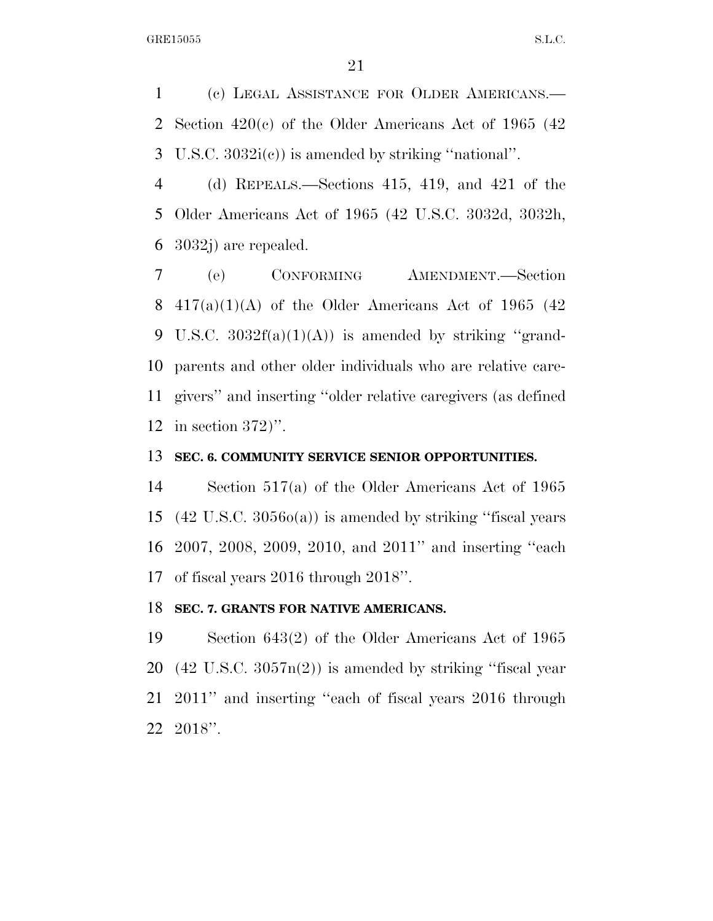(c) LEGAL ASSISTANCE FOR OLDER AMERICANS.— Section 420(c) of the Older Americans Act of 1965 (42 U.S.C. 3032i(c)) is amended by striking ''national''.

 (d) REPEALS.—Sections 415, 419, and 421 of the Older Americans Act of 1965 (42 U.S.C. 3032d, 3032h, 3032j) are repealed.

 (e) CONFORMING AMENDMENT.—Section 8 417(a)(1)(A) of the Older Americans Act of 1965 (42) 9 U.S.C.  $3032f(a)(1)(A)$  is amended by striking "grand- parents and other older individuals who are relative care- givers'' and inserting ''older relative caregivers (as defined in section 372)''.

#### **SEC. 6. COMMUNITY SERVICE SENIOR OPPORTUNITIES.**

 Section 517(a) of the Older Americans Act of 1965 (42 U.S.C. 3056o(a)) is amended by striking ''fiscal years 2007, 2008, 2009, 2010, and 2011'' and inserting ''each of fiscal years 2016 through 2018''.

## **SEC. 7. GRANTS FOR NATIVE AMERICANS.**

 Section 643(2) of the Older Americans Act of 1965 (42 U.S.C. 3057n(2)) is amended by striking ''fiscal year 2011'' and inserting ''each of fiscal years 2016 through 2018''.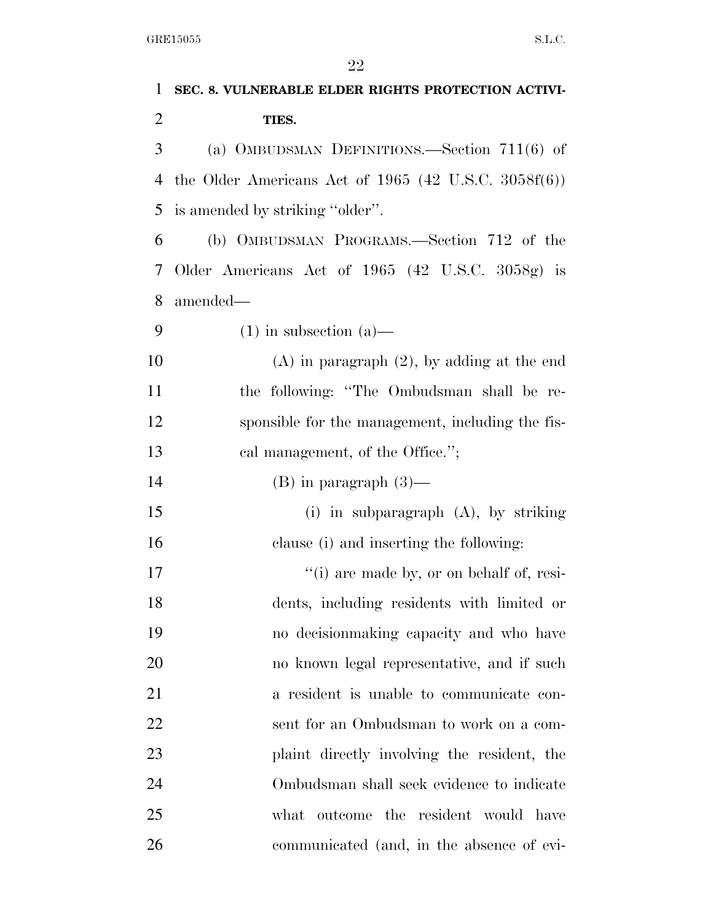| 1              | SEC. 8. VULNERABLE ELDER RIGHTS PROTECTION ACTIVI-       |
|----------------|----------------------------------------------------------|
| $\overline{2}$ | TIES.                                                    |
| 3              | (a) OMBUDSMAN DEFINITIONS.—Section $711(6)$ of           |
| 4              | the Older Americans Act of 1965 (42 U.S.C. 3058 $f(6)$ ) |
| 5              | is amended by striking "older".                          |
| 6              | (b) OMBUDSMAN PROGRAMS.—Section 712 of the               |
| 7              | Older Americans Act of 1965 (42 U.S.C. 3058g) is         |
| 8              | amended—                                                 |
| 9              | $(1)$ in subsection $(a)$ —                              |
| 10             | $(A)$ in paragraph $(2)$ , by adding at the end          |
| 11             | the following: "The Ombudsman shall be re-               |
| 12             | sponsible for the management, including the fis-         |
| 13             | cal management, of the Office.";                         |
| 14             | $(B)$ in paragraph $(3)$ —                               |
| 15             | (i) in subparagraph $(A)$ , by striking                  |
| 16             | clause (i) and inserting the following:                  |
| 17             | "(i) are made by, or on behalf of, resi-                 |
| 18             | dents, including residents with limited or               |
| 19             | no decision making capacity and who have                 |
| 20             | no known legal representative, and if such               |
| 21             | a resident is unable to communicate con-                 |
| 22             | sent for an Ombudsman to work on a com-                  |
| 23             | plaint directly involving the resident, the              |
| 24             | Ombudsman shall seek evidence to indicate                |
| 25             | the resident would have<br>what outcome                  |
| 26             | communicated (and, in the absence of evi-                |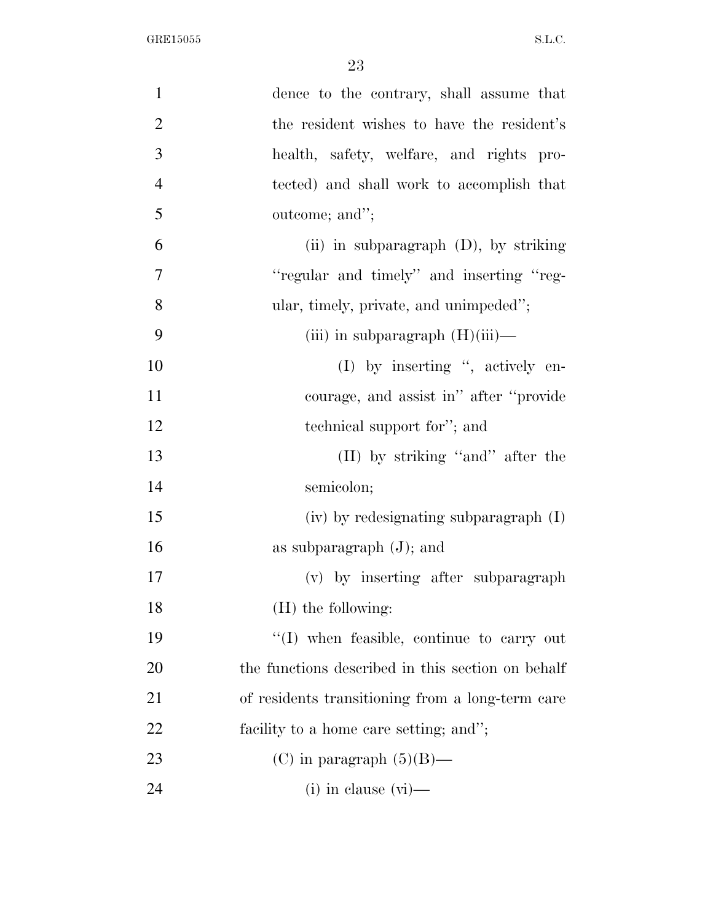| $\mathbf{1}$   | dence to the contrary, shall assume that          |
|----------------|---------------------------------------------------|
| $\overline{2}$ | the resident wishes to have the resident's        |
| 3              | health, safety, welfare, and rights pro-          |
| $\overline{4}$ | tected) and shall work to accomplish that         |
| 5              | outcome; and";                                    |
| 6              | (ii) in subparagraph (D), by striking             |
| $\overline{7}$ | "regular and timely" and inserting "reg-          |
| 8              | ular, timely, private, and unimpeded";            |
| 9              | (iii) in subparagraph $(H)(iii)$ —                |
| 10             | $(I)$ by inserting ", actively en-                |
| 11             | courage, and assist in" after "provide"           |
| 12             | technical support for"; and                       |
| 13             | (II) by striking "and" after the                  |
| 14             | semicolon;                                        |
| 15             | (iv) by redesignating subparagraph (I)            |
| 16             | as subparagraph $(J)$ ; and                       |
| 17             | (v) by inserting after subparagraph               |
| 18             | (H) the following:                                |
| 19             | $\lq(1)$ when feasible, continue to carry out     |
| 20             | the functions described in this section on behalf |
| 21             | of residents transitioning from a long-term care  |
| 22             | facility to a home care setting; and";            |
| 23             | (C) in paragraph $(5)(B)$ —                       |
| 24             | $(i)$ in clause $(vi)$ —                          |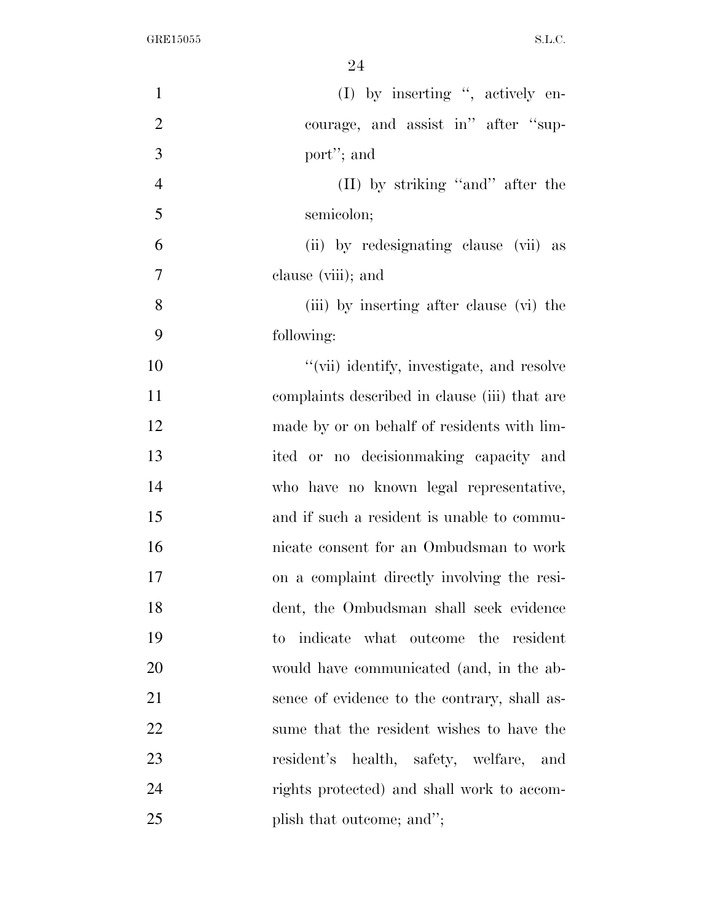| $\mathbf{1}$   | (I) by inserting ", actively en-                    |
|----------------|-----------------------------------------------------|
| $\overline{2}$ | courage, and assist in" after "sup-                 |
| 3              | port"; and                                          |
| $\overline{4}$ | (II) by striking "and" after the                    |
| 5              | semicolon;                                          |
| 6              | (ii) by redesignating clause (vii) as               |
| $\tau$         | clause (viii); and                                  |
| 8              | (iii) by inserting after clause (vi) the            |
| 9              | following:                                          |
| 10             | "(vii) identify, investigate, and resolve           |
| 11             | complaints described in clause (iii) that are       |
| 12             | made by or on behalf of residents with lim-         |
| 13             | ited or no decision making capacity and             |
| 14             | who have no known legal representative,             |
| 15             | and if such a resident is unable to commu-          |
| 16             | nicate consent for an Ombudsman to work             |
| 17             | on a complaint directly involving the resi-         |
| 18             | dent, the Ombudsman shall seek evidence             |
| 19             | indicate what outcome the resident<br>$\mathrm{to}$ |
| 20             | would have communicated (and, in the ab-            |
| 21             | sence of evidence to the contrary, shall as-        |
| 22             | sume that the resident wishes to have the           |
| 23             | resident's health, safety, welfare,<br>and          |
| 24             | rights protected) and shall work to accom-          |
| 25             | plish that outcome; and";                           |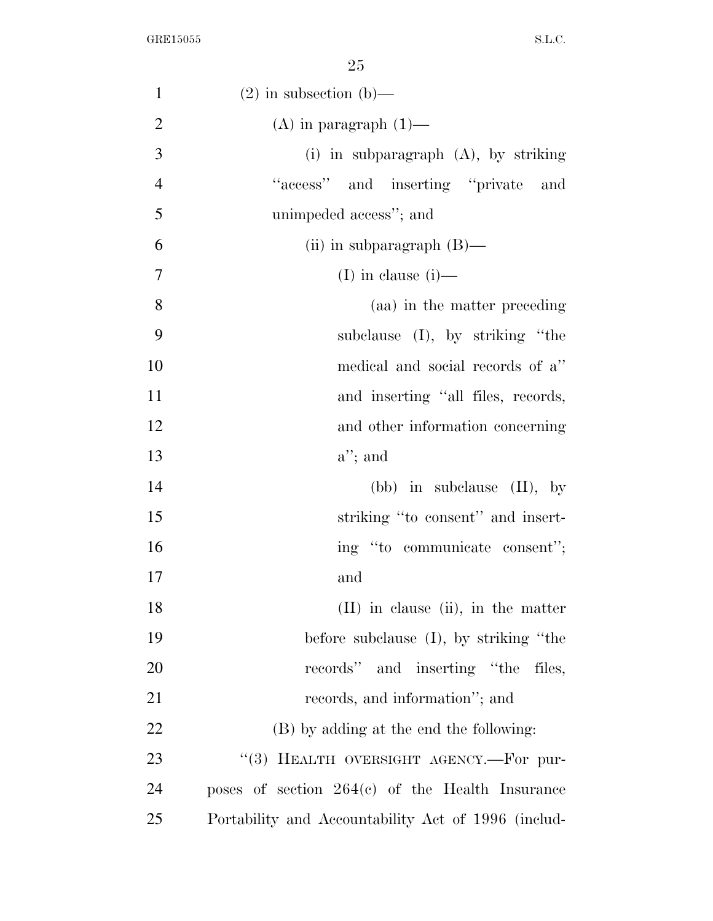| $\mathbf{1}$   | $(2)$ in subsection $(b)$ —                         |
|----------------|-----------------------------------------------------|
| $\overline{2}$ | $(A)$ in paragraph $(1)$ —                          |
| 3              | (i) in subparagraph $(A)$ , by striking             |
| $\overline{4}$ | "access" and inserting "private"<br>and             |
| 5              | unimpeded access"; and                              |
| 6              | (ii) in subparagraph $(B)$ —                        |
| $\overline{7}$ | (I) in clause $(i)$ —                               |
| 8              | (aa) in the matter preceding                        |
| 9              | subclause (I), by striking "the                     |
| 10             | medical and social records of a"                    |
| 11             | and inserting "all files, records,                  |
| 12             | and other information concerning                    |
| 13             | $a$ "; and                                          |
| 14             | (bb) in subclause $(II)$ , by                       |
| 15             | striking "to consent" and insert-                   |
| 16             | ing "to communicate consent";                       |
| 17             | and                                                 |
| 18             | $(II)$ in clause $(ii)$ , in the matter             |
| 19             | before subclause $(I)$ , by striking "the           |
| 20             | records" and inserting "the files,                  |
| 21             | records, and information"; and                      |
| 22             | (B) by adding at the end the following:             |
| 23             | "(3) HEALTH OVERSIGHT AGENCY.—For pur-              |
| 24             | poses of section $264(c)$ of the Health Insurance   |
| 25             | Portability and Accountability Act of 1996 (includ- |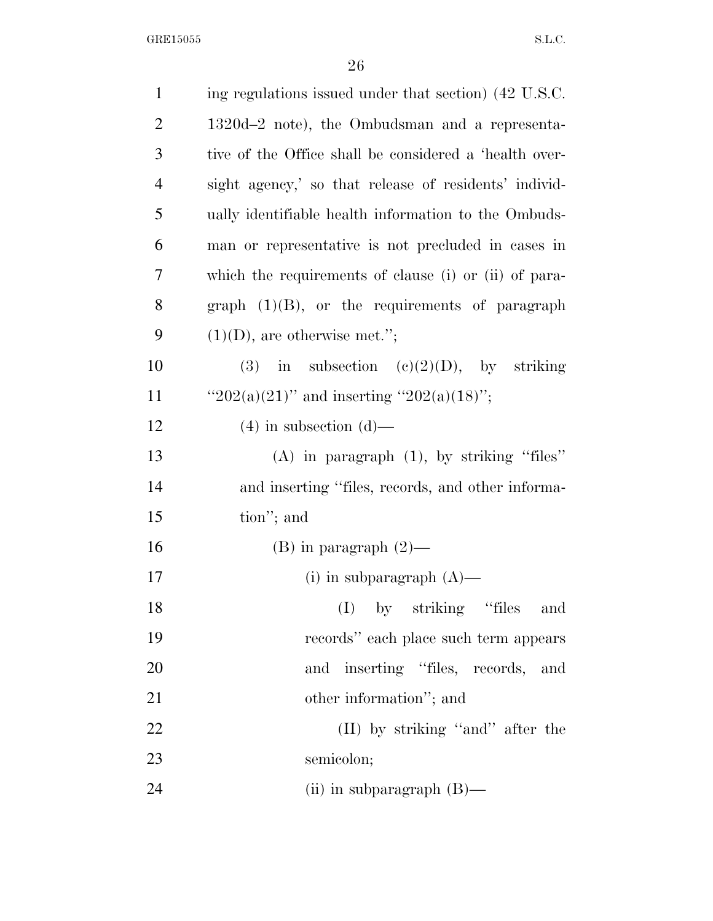| $\mathbf{1}$   | ing regulations issued under that section) (42 U.S.C.  |
|----------------|--------------------------------------------------------|
| $\overline{2}$ | 1320d-2 note), the Ombudsman and a representa-         |
| 3              | tive of the Office shall be considered a 'health over- |
| $\overline{4}$ | sight agency,' so that release of residents' individ-  |
| 5              | ually identifiable health information to the Ombuds-   |
| 6              | man or representative is not precluded in cases in     |
| 7              | which the requirements of clause (i) or (ii) of para-  |
| 8              | graph $(1)(B)$ , or the requirements of paragraph      |
| 9              | $(1)(D)$ , are otherwise met.";                        |
| 10             | (3) in subsection (c)(2)(D), by striking               |
| 11             | " $202(a)(21)$ " and inserting " $202(a)(18)$ ";       |
| 12             | $(4)$ in subsection $(d)$ —                            |
| 13             | $(A)$ in paragraph $(1)$ , by striking "files"         |
| 14             | and inserting "files, records, and other informa-      |
| 15             | tion"; and                                             |
| 16             | $(B)$ in paragraph $(2)$ —                             |
| 17             | (i) in subparagraph $(A)$ —                            |
| 18             | by striking "files<br>(I)<br>and                       |
| 19             | records" each place such term appears                  |
| 20             | inserting "files, records, and<br>and                  |
| 21             | other information"; and                                |
| <u>22</u>      | (II) by striking "and" after the                       |
| 23             | semicolon;                                             |
| 24             | (ii) in subparagraph $(B)$ —                           |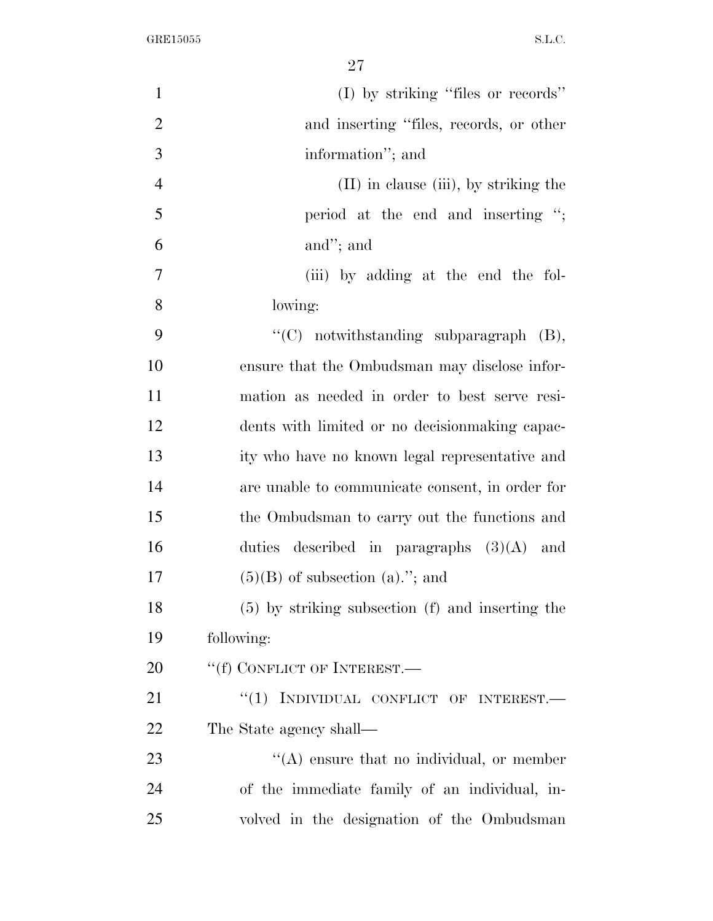| $\mathbf{1}$   | (I) by striking "files or records"                   |
|----------------|------------------------------------------------------|
| $\overline{2}$ | and inserting "files, records, or other              |
| 3              | information"; and                                    |
| $\overline{4}$ | (II) in clause (iii), by striking the                |
| 5              | period at the end and inserting $\cdot$ ;            |
| 6              | and"; and                                            |
| $\overline{7}$ | (iii) by adding at the end the fol-                  |
| 8              | lowing:                                              |
| 9              | " $(C)$ notwithstanding subparagraph $(B)$ ,         |
| 10             | ensure that the Ombudsman may disclose infor-        |
| 11             | mation as needed in order to best serve resi-        |
| 12             | dents with limited or no decision making capac-      |
| 13             | ity who have no known legal representative and       |
| 14             | are unable to communicate consent, in order for      |
| 15             | the Ombudsman to carry out the functions and         |
| 16             | duties described in paragraphs $(3)(A)$ and          |
| 17             | $(5)(B)$ of subsection $(a)$ ."; and                 |
| 18             | $(5)$ by striking subsection $(f)$ and inserting the |
| 19             | following:                                           |
| 20             | "(f) CONFLICT OF INTEREST.—                          |
| 21             | INDIVIDUAL CONFLICT OF INTEREST.<br>``(1)            |
| 22             | The State agency shall—                              |
| 23             | "(A) ensure that no individual, or member            |
| 24             | of the immediate family of an individual, in-        |
| 25             | volved in the designation of the Ombudsman           |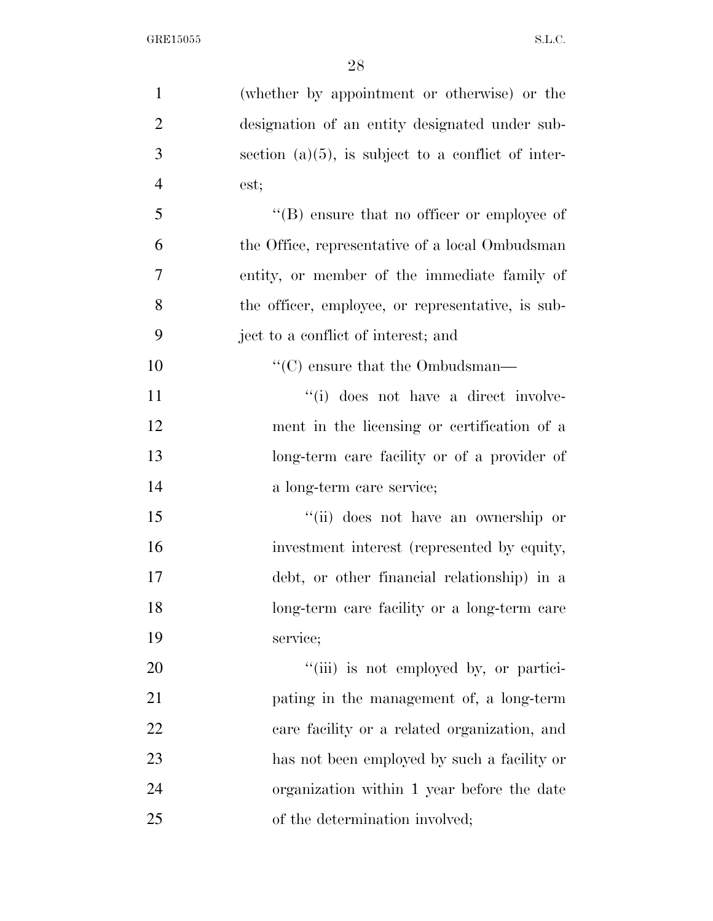| $\mathbf{1}$   | (whether by appointment or otherwise) or the          |
|----------------|-------------------------------------------------------|
| $\overline{2}$ | designation of an entity designated under sub-        |
| 3              | section $(a)(5)$ , is subject to a conflict of inter- |
| $\overline{4}$ | est;                                                  |
| 5              | $\lq\lq (B)$ ensure that no officer or employee of    |
| 6              | the Office, representative of a local Ombudsman       |
| $\overline{7}$ | entity, or member of the immediate family of          |
| 8              | the officer, employee, or representative, is sub-     |
| 9              | ject to a conflict of interest; and                   |
| 10             | $\lq\lq$ <sup>*</sup> (C) ensure that the Ombudsman—  |
| 11             | "(i) does not have a direct involve-                  |
| 12             | ment in the licensing or certification of a           |
| 13             | long-term care facility or of a provider of           |
| 14             | a long-term care service;                             |
| 15             | "(ii) does not have an ownership or                   |
| 16             | investment interest (represented by equity,           |
| 17             | debt, or other financial relationship) in a           |
| 18             | long-term care facility or a long-term care           |
| 19             | service;                                              |
| 20             | "(iii) is not employed by, or partici-                |
| 21             | pating in the management of, a long-term              |
| 22             | care facility or a related organization, and          |
| 23             | has not been employed by such a facility or           |
| 24             | organization within 1 year before the date            |
| 25             | of the determination involved;                        |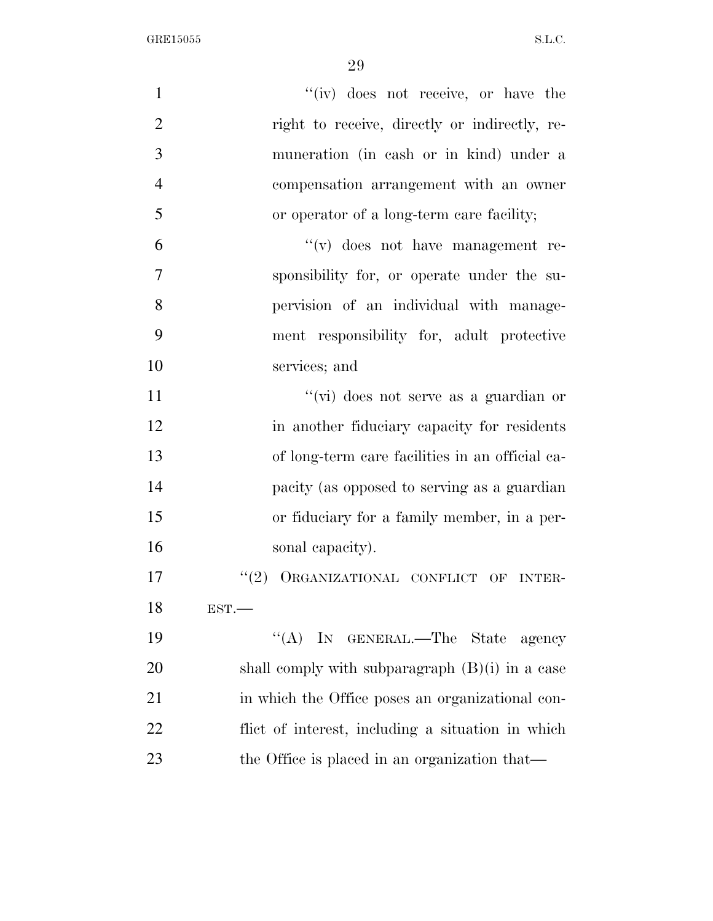| $\mathbf{1}$   | "(iv) does not receive, or have the                |
|----------------|----------------------------------------------------|
| $\overline{2}$ | right to receive, directly or indirectly, re-      |
| 3              | muneration (in cash or in kind) under a            |
| $\overline{4}$ | compensation arrangement with an owner             |
| 5              | or operator of a long-term care facility;          |
| 6              | $f'(v)$ does not have management re-               |
| $\overline{7}$ | sponsibility for, or operate under the su-         |
| 8              | pervision of an individual with manage-            |
| 9              | ment responsibility for, adult protective          |
| 10             | services; and                                      |
| 11             | "(vi) does not serve as a guardian or              |
| 12             | in another fiduciary capacity for residents        |
| 13             | of long-term care facilities in an official ca-    |
| 14             | pacity (as opposed to serving as a guardian        |
| 15             | or fiduciary for a family member, in a per-        |
| 16             | sonal capacity).                                   |
| 17             | ORGANIZATIONAL CONFLICT OF<br>(2)<br><b>INTER-</b> |
| 18             | EST.                                               |
| 19             | "(A) IN GENERAL.—The State agency                  |
| 20             | shall comply with subparagraph $(B)(i)$ in a case  |
| 21             | in which the Office poses an organizational con-   |
| 22             | flict of interest, including a situation in which  |
| 23             | the Office is placed in an organization that—      |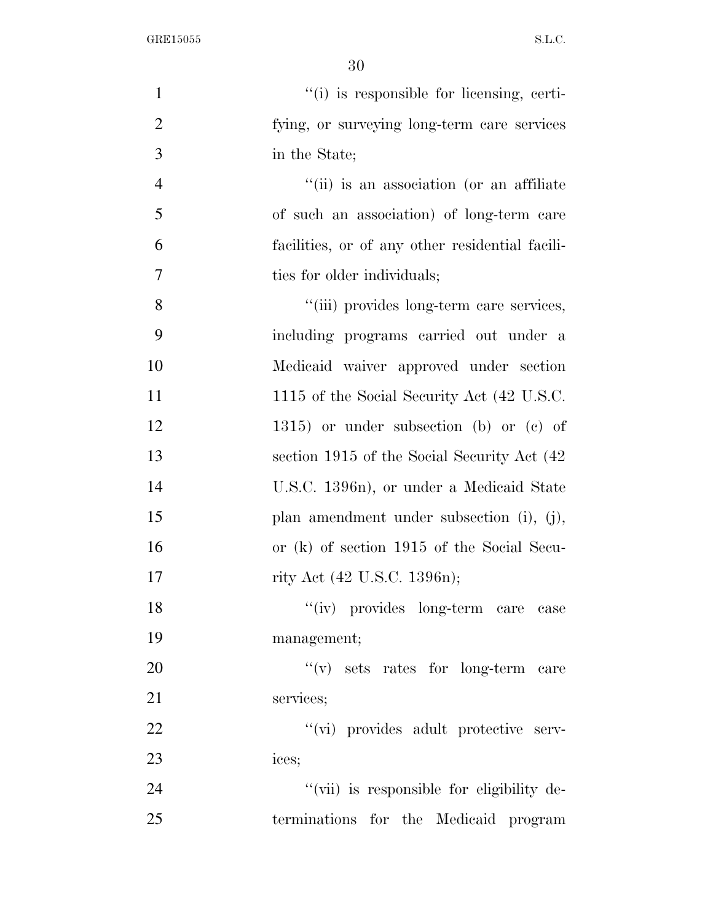| $\mathbf{1}$   | "(i) is responsible for licensing, certi-       |
|----------------|-------------------------------------------------|
| $\overline{2}$ | fying, or surveying long-term care services     |
| 3              | in the State;                                   |
| $\overline{4}$ | "(ii) is an association (or an affiliate        |
| 5              | of such an association) of long-term care       |
| 6              | facilities, or of any other residential facili- |
| $\tau$         | ties for older individuals;                     |
| 8              | "(iii) provides long-term care services,        |
| 9              | including programs carried out under a          |
| 10             | Medicaid waiver approved under section          |
| 11             | 1115 of the Social Security Act (42 U.S.C.      |
| 12             | $1315$ ) or under subsection (b) or (c) of      |
| 13             | section 1915 of the Social Security Act (42)    |
| 14             | U.S.C. 1396n), or under a Medicaid State        |
| 15             | plan amendment under subsection $(i)$ , $(j)$ , |
| 16             | or (k) of section 1915 of the Social Secu-      |
| 17             | rity Act (42 U.S.C. 1396n);                     |
| 18             | "(iv) provides long-term care case              |
| 19             | management;                                     |
| 20             | $f'(v)$ sets rates for long-term care           |
| 21             | services;                                       |
| 22             | "(vi) provides adult protective serv-           |
| 23             | ices;                                           |
| 24             | "(vii) is responsible for eligibility de-       |
| 25             | terminations for the Medicaid program           |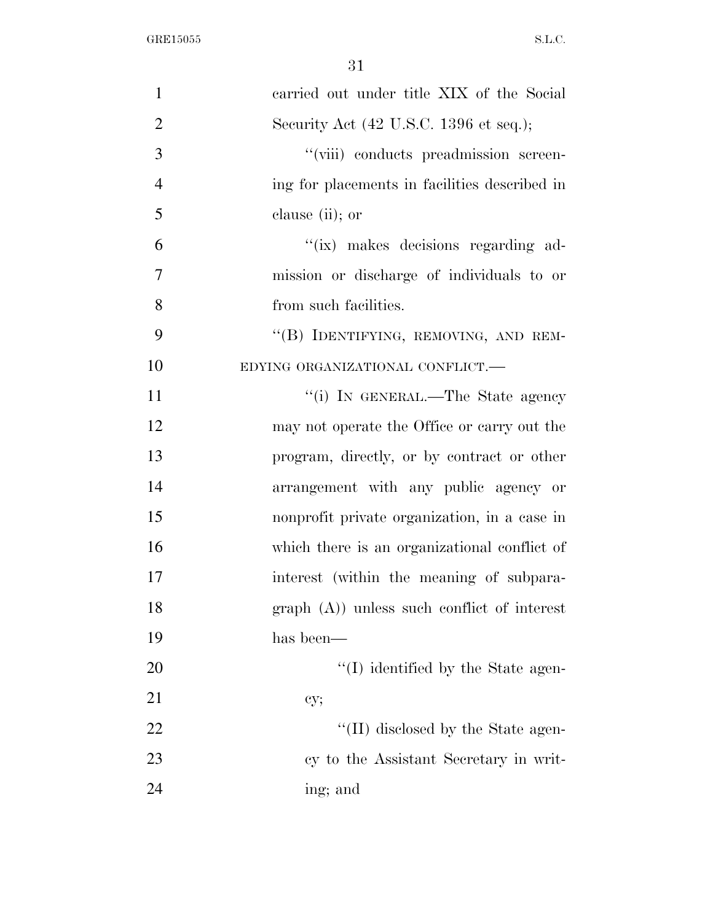| $\mathbf{1}$   | carried out under title XIX of the Social     |
|----------------|-----------------------------------------------|
| $\overline{2}$ | Security Act (42 U.S.C. 1396 et seq.);        |
| 3              | "(viii) conducts preadmission screen-         |
| $\overline{4}$ | ing for placements in facilities described in |
| 5              | clause (ii); or                               |
| 6              | "(ix) makes decisions regarding ad-           |
| $\overline{7}$ | mission or discharge of individuals to or     |
| 8              | from such facilities.                         |
| 9              | "(B) IDENTIFYING, REMOVING, AND REM-          |
| 10             | EDYING ORGANIZATIONAL CONFLICT.-              |
| 11             | "(i) IN GENERAL.—The State agency             |
| 12             | may not operate the Office or carry out the   |
| 13             | program, directly, or by contract or other    |
| 14             | arrangement with any public agency or         |
| 15             | nonprofit private organization, in a case in  |
| 16             | which there is an organizational conflict of  |
| 17             | interest (within the meaning of subpara-      |
| 18             | $graph(A)$ unless such conflict of interest   |
| 19             | has been—                                     |
| 20             | "(I) identified by the State agen-            |
| 21             | cy;                                           |
| 22             | "(II) disclosed by the State agen-            |
| 23             | cy to the Assistant Secretary in writ-        |
| 24             | ing; and                                      |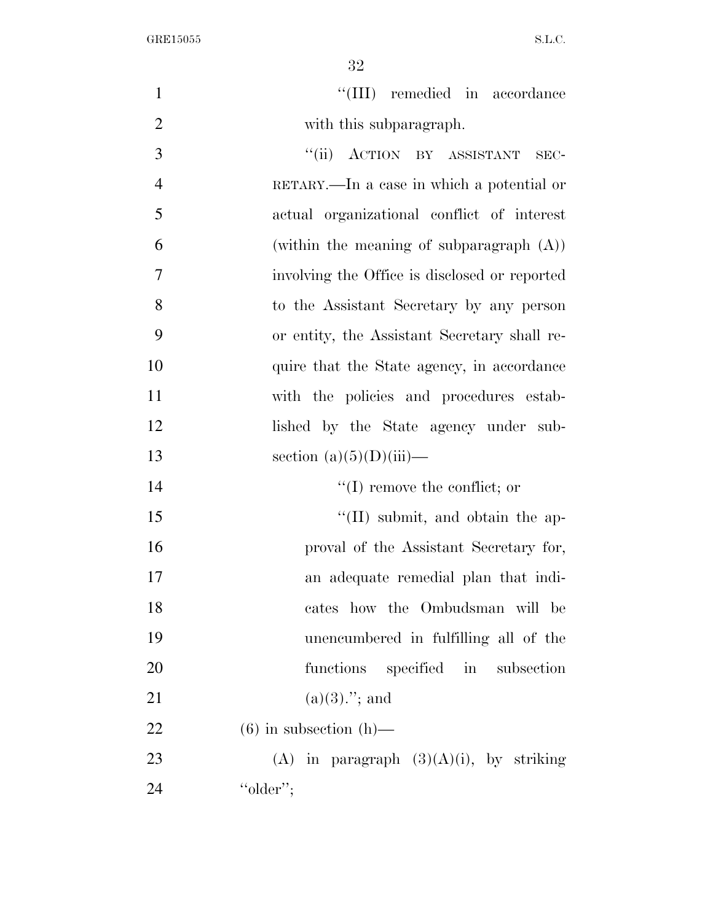32

 $\text{``(III)}$  remedied in accordance 2 with this subparagraph. 3 "(ii) ACTION BY ASSISTANT SEC- RETARY.—In a case in which a potential or actual organizational conflict of interest (within the meaning of subparagraph (A))

 involving the Office is disclosed or reported to the Assistant Secretary by any person or entity, the Assistant Secretary shall re-10 quire that the State agency, in accordance with the policies and procedures estab- lished by the State agency under sub-13 section  $(a)(5)(D)(iii)$ —  $\text{``(I) remove the conflict: or}$ 

15 ''(II) submit, and obtain the ap- proval of the Assistant Secretary for, an adequate remedial plan that indi- cates how the Ombudsman will be unencumbered in fulfilling all of the functions specified in subsection 21 (a)(3).''; and

22 (6) in subsection  $(h)$ —

23 (A) in paragraph  $(3)(A)(i)$ , by striking 24 ''older'';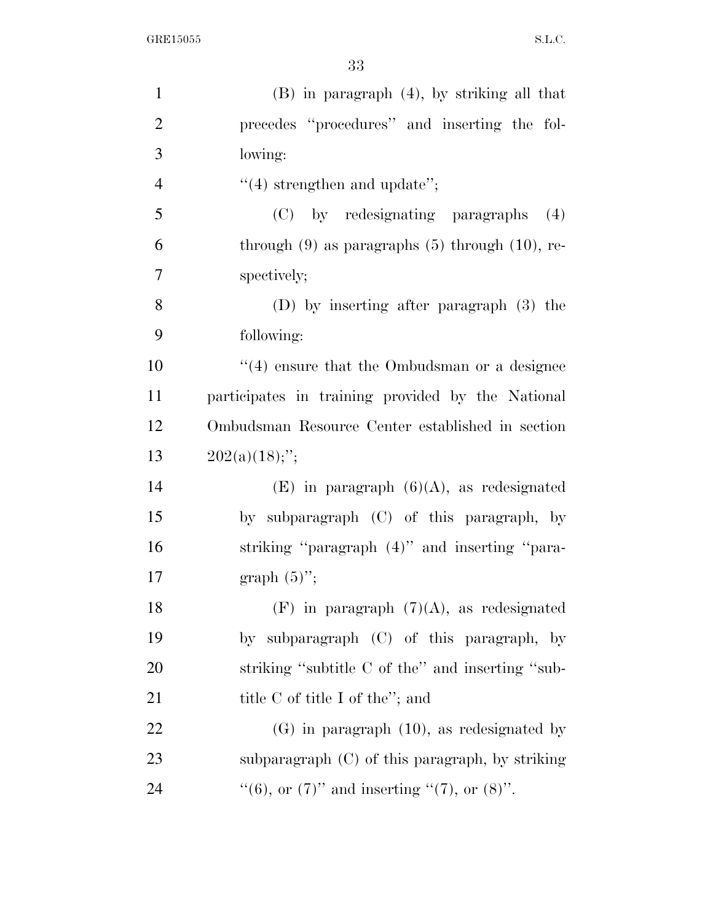| $(B)$ in paragraph $(4)$ , by striking all that        |
|--------------------------------------------------------|
| precedes "procedures" and inserting the fol-           |
| lowing:                                                |
| $"(4)$ strengthen and update";                         |
| (C) by redesignating paragraphs<br>(4)                 |
| through $(9)$ as paragraphs $(5)$ through $(10)$ , re- |
| spectively;                                            |
| (D) by inserting after paragraph (3) the               |
| following:                                             |
| $\cdot$ (4) ensure that the Ombudsman or a designee    |
| participates in training provided by the National      |
| Ombudsman Resource Center established in section       |
| $202(a)(18)$ ;";                                       |
| $(E)$ in paragraph $(6)(A)$ , as redesignated          |
| by subparagraph (C) of this paragraph, by              |
| striking "paragraph (4)" and inserting "para-          |
| graph $(5)$ ";                                         |
| $(F)$ in paragraph $(7)(A)$ , as redesignated          |
| by subparagraph (C) of this paragraph, by              |
| striking "subtitle C of the" and inserting "sub-       |
| title $C$ of title I of the"; and                      |
| $(G)$ in paragraph $(10)$ , as redesignated by         |
| subparagraph $(C)$ of this paragraph, by striking      |
| "(6), or $(7)$ " and inserting " $(7)$ , or $(8)$ ".   |
|                                                        |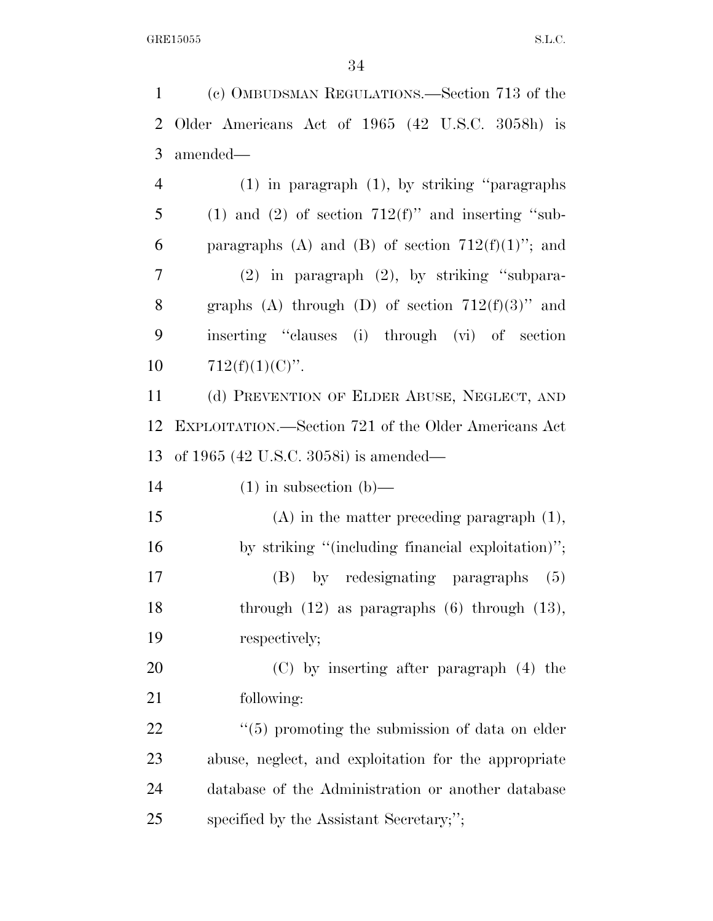(c) OMBUDSMAN REGULATIONS.—Section 713 of the

 Older Americans Act of 1965 (42 U.S.C. 3058h) is amended— (1) in paragraph (1), by striking ''paragraphs 5 (1) and (2) of section  $712(f)$ " and inserting "sub-6 paragraphs (A) and (B) of section  $712(f)(1)$ "; and (2) in paragraph (2), by striking ''subpara-8 graphs (A) through (D) of section  $712(f)(3)$ " and inserting ''clauses (i) through (vi) of section  $712(f)(1)(C)$ ". (d) PREVENTION OF ELDER ABUSE, NEGLECT, AND EXPLOITATION.—Section 721 of the Older Americans Act of 1965 (42 U.S.C. 3058i) is amended—  $(1)$  in subsection  $(b)$ — (A) in the matter preceding paragraph (1), by striking ''(including financial exploitation)''; (B) by redesignating paragraphs (5) through (12) as paragraphs (6) through (13), respectively; (C) by inserting after paragraph (4) the following:  $\frac{1}{22}$  ''(5) promoting the submission of data on elder abuse, neglect, and exploitation for the appropriate database of the Administration or another database specified by the Assistant Secretary;'';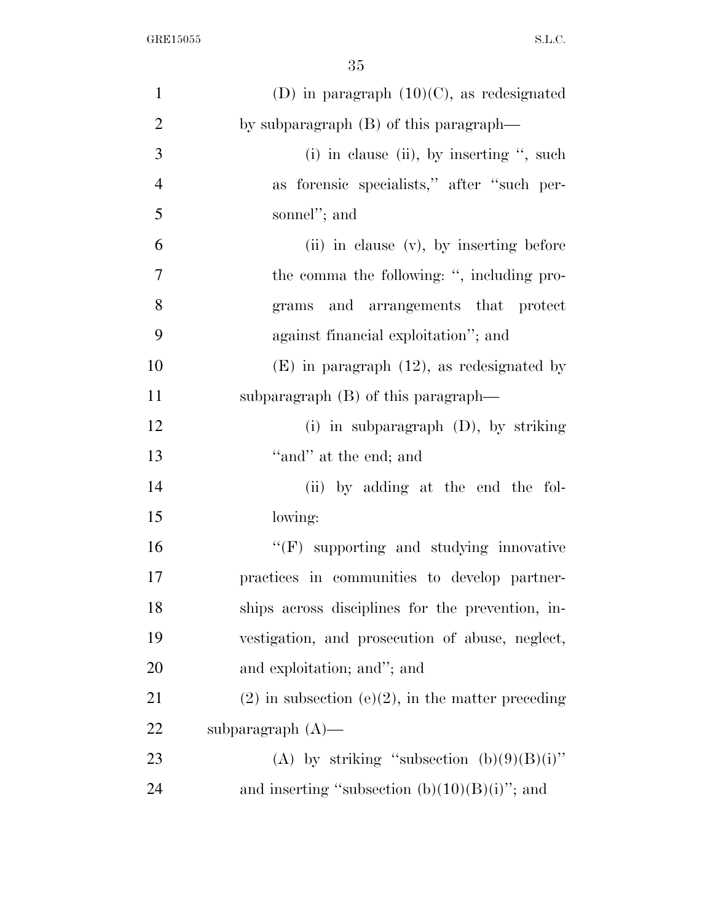| $\mathbf{1}$   | (D) in paragraph $(10)(C)$ , as redesignated           |
|----------------|--------------------------------------------------------|
| $\overline{2}$ | by subparagraph $(B)$ of this paragraph—               |
| 3              | (i) in clause (ii), by inserting $\cdot$ , such        |
| $\overline{4}$ | as forensic specialists," after "such per-             |
| 5              | sonnel"; and                                           |
| 6              | (ii) in clause (v), by inserting before                |
| 7              | the comma the following: ", including pro-             |
| 8              | grams and arrangements that protect                    |
| 9              | against financial exploitation"; and                   |
| 10             | $(E)$ in paragraph $(12)$ , as redesignated by         |
| 11             | subparagraph $(B)$ of this paragraph—                  |
| 12             | (i) in subparagraph $(D)$ , by striking                |
| 13             | "and" at the end; and                                  |
| 14             | (ii) by adding at the end the fol-                     |
| 15             | lowing:                                                |
| 16             | $\lq\lq(F)$ supporting and studying innovative         |
| 17             | practices in communities to develop partner-           |
| 18             | ships across disciplines for the prevention, in-       |
| 19             | vestigation, and prosecution of abuse, neglect,        |
| <b>20</b>      | and exploitation; and"; and                            |
| 21             | $(2)$ in subsection $(e)(2)$ , in the matter preceding |
| 22             | subparagraph $(A)$ —                                   |
| 23             | (A) by striking "subsection $(b)(9)(B)(i)$ "           |
| 24             | and inserting "subsection $(b)(10)(B)(i)$ "; and       |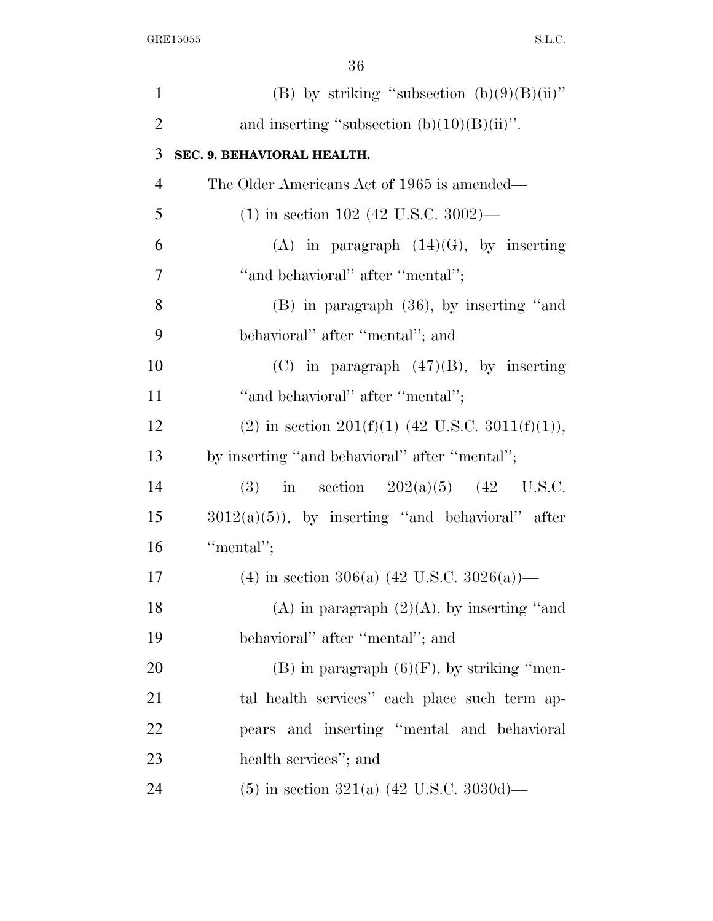| $\mathbf{1}$   | (B) by striking "subsection $(b)(9)(B)(ii)$ "      |
|----------------|----------------------------------------------------|
| $\overline{2}$ | and inserting "subsection $(b)(10)(B)(ii)$ ".      |
| 3              | SEC. 9. BEHAVIORAL HEALTH.                         |
| $\overline{4}$ | The Older Americans Act of 1965 is amended—        |
| 5              | $(1)$ in section 102 (42 U.S.C. 3002)—             |
| 6              | (A) in paragraph $(14)(G)$ , by inserting          |
| $\overline{7}$ | "and behavioral" after "mental";                   |
| 8              | $(B)$ in paragraph $(36)$ , by inserting "and      |
| 9              | behavioral" after "mental"; and                    |
| 10             | $(C)$ in paragraph $(47)(B)$ , by inserting        |
| 11             | "and behavioral" after "mental";                   |
| 12             | (2) in section 201(f)(1) (42 U.S.C. 3011(f)(1)),   |
| 13             | by inserting "and behavioral" after "mental";      |
| 14             | in section $202(a)(5)$ (42 U.S.C.<br>(3)           |
| 15             | $3012(a)(5)$ , by inserting "and behavioral" after |
| 16             | "mental";                                          |
| 17             | (4) in section 306(a) (42 U.S.C. 3026(a))—         |
| 18             | (A) in paragraph $(2)(A)$ , by inserting "and      |
| 19             | behavioral" after "mental"; and                    |
| 20             | $(B)$ in paragraph $(6)(F)$ , by striking "men-    |
| 21             | tal health services" each place such term ap-      |
| 22             | pears and inserting "mental and behavioral         |
| 23             | health services"; and                              |
| 24             | $(5)$ in section 321(a) (42 U.S.C. 3030d)—         |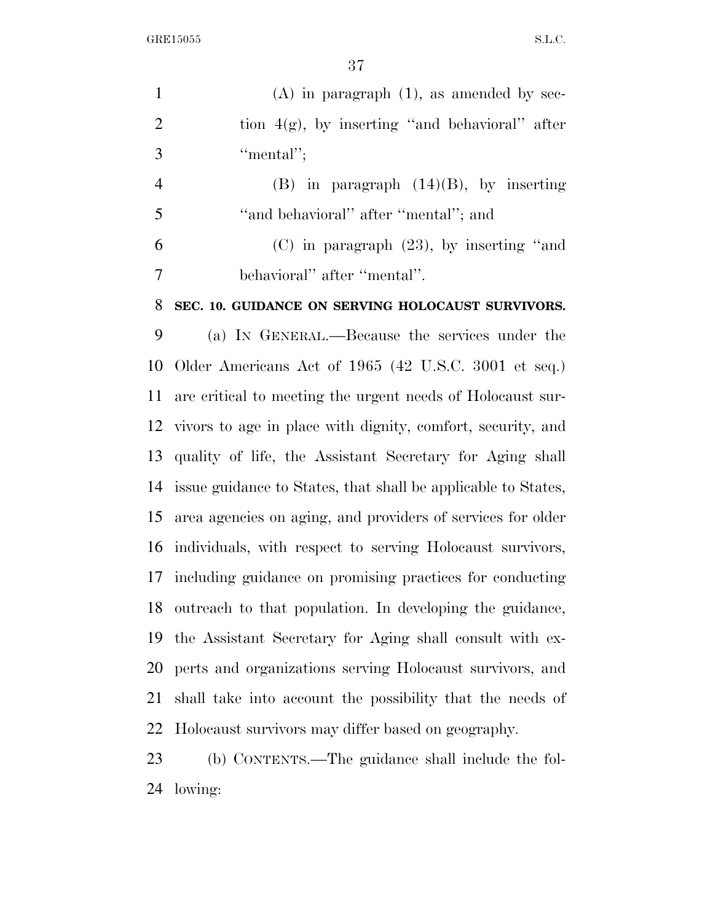$\begin{minipage}{.4\linewidth} \begin{tabular}{l} \bf{GRE15055} \end{tabular} \end{minipage}$ 

| $\mathbf{1}$   | $(A)$ in paragraph $(1)$ , as amended by sec-                  |
|----------------|----------------------------------------------------------------|
| $\overline{2}$ | tion $4(g)$ , by inserting "and behavioral" after              |
| 3              | "mental";                                                      |
| $\overline{4}$ | $(B)$ in paragraph $(14)(B)$ , by inserting                    |
| 5              | "and behavioral" after "mental"; and                           |
| 6              | $(C)$ in paragraph $(23)$ , by inserting "and                  |
| 7              | behavioral" after "mental".                                    |
| 8              | SEC. 10. GUIDANCE ON SERVING HOLOCAUST SURVIVORS.              |
| 9              | (a) IN GENERAL.—Because the services under the                 |
| 10             | Older Americans Act of 1965 (42 U.S.C. 3001 et seq.)           |
| 11             | are critical to meeting the urgent needs of Holocaust sur-     |
|                | 12 vivors to age in place with dignity, comfort, security, and |
| 13             | quality of life, the Assistant Secretary for Aging shall       |
| 14             | issue guidance to States, that shall be applicable to States,  |
| 15             | area agencies on aging, and providers of services for older    |
| 16             | individuals, with respect to serving Holocaust survivors,      |
|                | 17 including guidance on promising practices for conducting    |
| 18             | outreach to that population. In developing the guidance,       |
| 19             | the Assistant Secretary for Aging shall consult with ex-       |
| 20             | perts and organizations serving Holocaust survivors, and       |
| 21             | shall take into account the possibility that the needs of      |
|                | 22 Holocaust survivors may differ based on geography.          |
|                |                                                                |

 (b) CONTENTS.—The guidance shall include the fol-lowing: